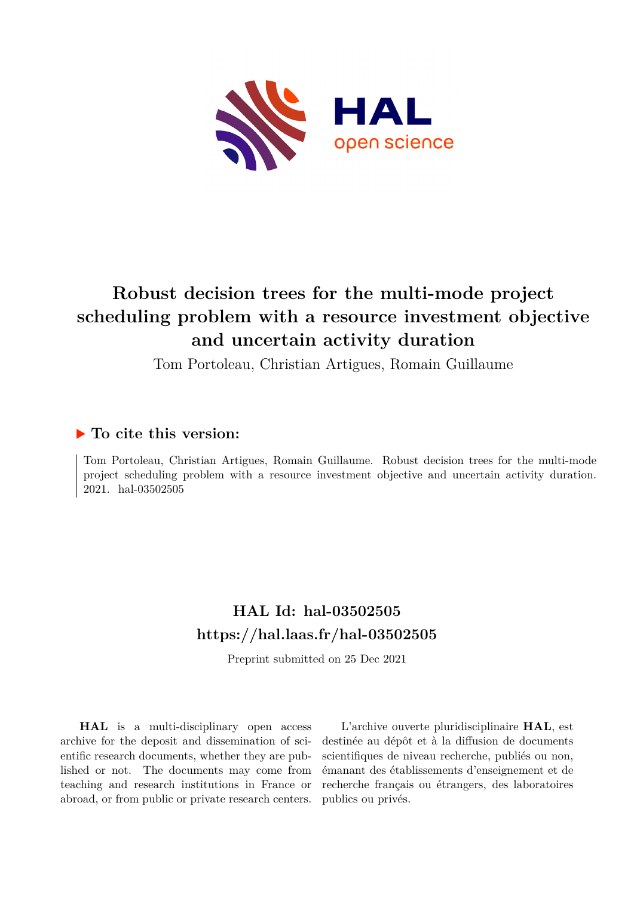

# **Robust decision trees for the multi-mode project scheduling problem with a resource investment objective and uncertain activity duration**

Tom Portoleau, Christian Artigues, Romain Guillaume

# **To cite this version:**

Tom Portoleau, Christian Artigues, Romain Guillaume. Robust decision trees for the multi-mode project scheduling problem with a resource investment objective and uncertain activity duration. 2021. hal-03502505

# **HAL Id: hal-03502505 <https://hal.laas.fr/hal-03502505>**

Preprint submitted on 25 Dec 2021

**HAL** is a multi-disciplinary open access archive for the deposit and dissemination of scientific research documents, whether they are published or not. The documents may come from teaching and research institutions in France or abroad, or from public or private research centers.

L'archive ouverte pluridisciplinaire **HAL**, est destinée au dépôt et à la diffusion de documents scientifiques de niveau recherche, publiés ou non, émanant des établissements d'enseignement et de recherche français ou étrangers, des laboratoires publics ou privés.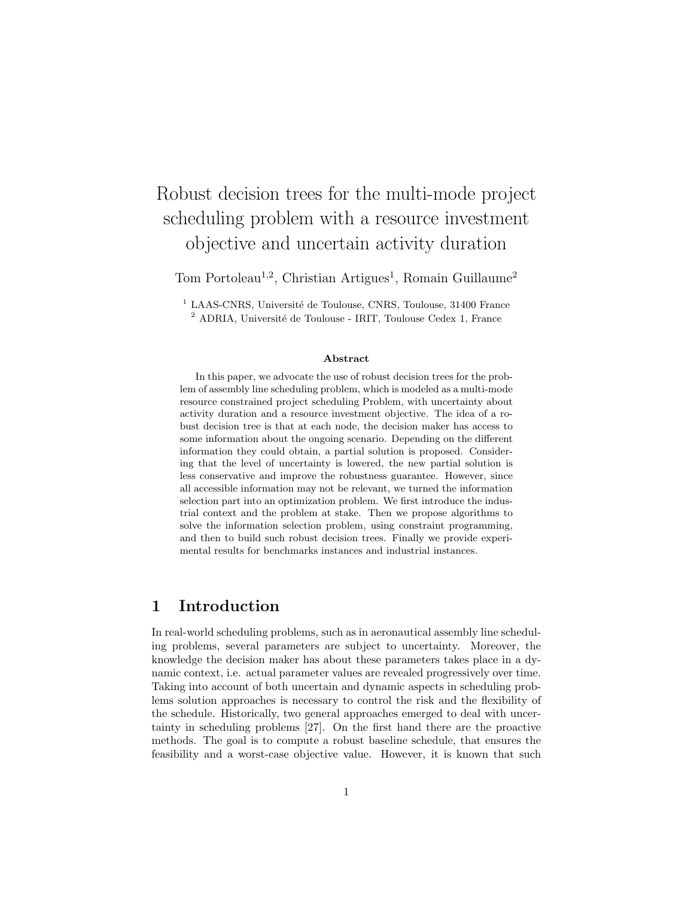# Robust decision trees for the multi-mode project scheduling problem with a resource investment objective and uncertain activity duration

Tom Portoleau<sup>1,2</sup>, Christian Artigues<sup>1</sup>, Romain Guillaume<sup>2</sup>

 $1$  LAAS-CNRS, Université de Toulouse, CNRS, Toulouse, 31400 France  $^{2}$  ADRIA, Université de Toulouse - IRIT, Toulouse Cedex 1, France

#### Abstract

In this paper, we advocate the use of robust decision trees for the problem of assembly line scheduling problem, which is modeled as a multi-mode resource constrained project scheduling Problem, with uncertainty about activity duration and a resource investment objective. The idea of a robust decision tree is that at each node, the decision maker has access to some information about the ongoing scenario. Depending on the different information they could obtain, a partial solution is proposed. Considering that the level of uncertainty is lowered, the new partial solution is less conservative and improve the robustness guarantee. However, since all accessible information may not be relevant, we turned the information selection part into an optimization problem. We first introduce the industrial context and the problem at stake. Then we propose algorithms to solve the information selection problem, using constraint programming, and then to build such robust decision trees. Finally we provide experimental results for benchmarks instances and industrial instances.

## 1 Introduction

In real-world scheduling problems, such as in aeronautical assembly line scheduling problems, several parameters are subject to uncertainty. Moreover, the knowledge the decision maker has about these parameters takes place in a dynamic context, i.e. actual parameter values are revealed progressively over time. Taking into account of both uncertain and dynamic aspects in scheduling problems solution approaches is necessary to control the risk and the flexibility of the schedule. Historically, two general approaches emerged to deal with uncertainty in scheduling problems [27]. On the first hand there are the proactive methods. The goal is to compute a robust baseline schedule, that ensures the feasibility and a worst-case objective value. However, it is known that such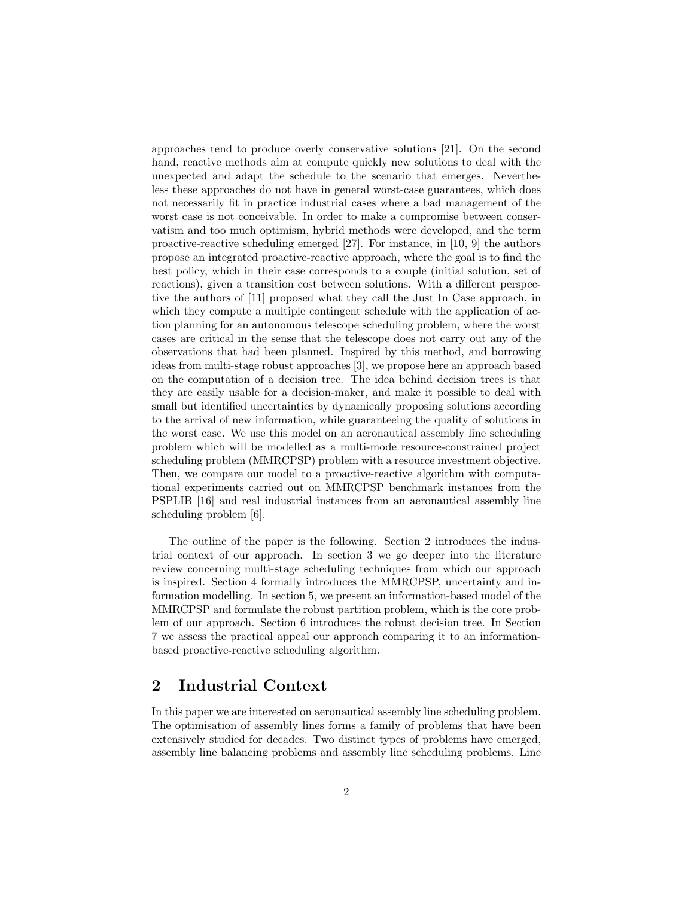approaches tend to produce overly conservative solutions [21]. On the second hand, reactive methods aim at compute quickly new solutions to deal with the unexpected and adapt the schedule to the scenario that emerges. Nevertheless these approaches do not have in general worst-case guarantees, which does not necessarily fit in practice industrial cases where a bad management of the worst case is not conceivable. In order to make a compromise between conservatism and too much optimism, hybrid methods were developed, and the term proactive-reactive scheduling emerged [27]. For instance, in [10, 9] the authors propose an integrated proactive-reactive approach, where the goal is to find the best policy, which in their case corresponds to a couple (initial solution, set of reactions), given a transition cost between solutions. With a different perspective the authors of [11] proposed what they call the Just In Case approach, in which they compute a multiple contingent schedule with the application of action planning for an autonomous telescope scheduling problem, where the worst cases are critical in the sense that the telescope does not carry out any of the observations that had been planned. Inspired by this method, and borrowing ideas from multi-stage robust approaches [3], we propose here an approach based on the computation of a decision tree. The idea behind decision trees is that they are easily usable for a decision-maker, and make it possible to deal with small but identified uncertainties by dynamically proposing solutions according to the arrival of new information, while guaranteeing the quality of solutions in the worst case. We use this model on an aeronautical assembly line scheduling problem which will be modelled as a multi-mode resource-constrained project scheduling problem (MMRCPSP) problem with a resource investment objective. Then, we compare our model to a proactive-reactive algorithm with computational experiments carried out on MMRCPSP benchmark instances from the PSPLIB [16] and real industrial instances from an aeronautical assembly line scheduling problem [6].

The outline of the paper is the following. Section 2 introduces the industrial context of our approach. In section 3 we go deeper into the literature review concerning multi-stage scheduling techniques from which our approach is inspired. Section 4 formally introduces the MMRCPSP, uncertainty and information modelling. In section 5, we present an information-based model of the MMRCPSP and formulate the robust partition problem, which is the core problem of our approach. Section 6 introduces the robust decision tree. In Section 7 we assess the practical appeal our approach comparing it to an informationbased proactive-reactive scheduling algorithm.

## 2 Industrial Context

In this paper we are interested on aeronautical assembly line scheduling problem. The optimisation of assembly lines forms a family of problems that have been extensively studied for decades. Two distinct types of problems have emerged, assembly line balancing problems and assembly line scheduling problems. Line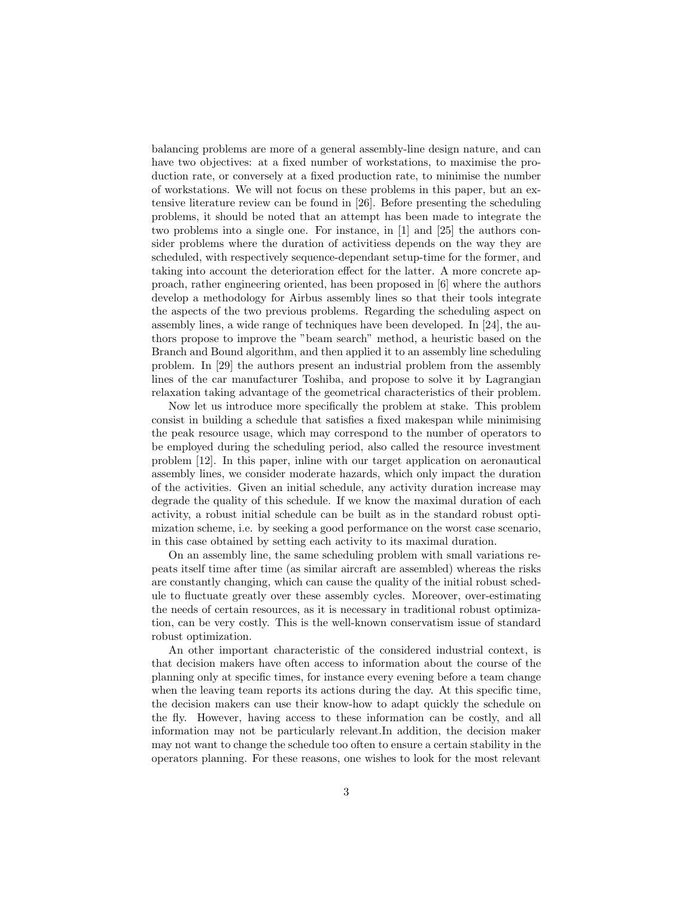balancing problems are more of a general assembly-line design nature, and can have two objectives: at a fixed number of workstations, to maximise the production rate, or conversely at a fixed production rate, to minimise the number of workstations. We will not focus on these problems in this paper, but an extensive literature review can be found in [26]. Before presenting the scheduling problems, it should be noted that an attempt has been made to integrate the two problems into a single one. For instance, in [1] and [25] the authors consider problems where the duration of activitiess depends on the way they are scheduled, with respectively sequence-dependant setup-time for the former, and taking into account the deterioration effect for the latter. A more concrete approach, rather engineering oriented, has been proposed in [6] where the authors develop a methodology for Airbus assembly lines so that their tools integrate the aspects of the two previous problems. Regarding the scheduling aspect on assembly lines, a wide range of techniques have been developed. In [24], the authors propose to improve the "beam search" method, a heuristic based on the Branch and Bound algorithm, and then applied it to an assembly line scheduling problem. In [29] the authors present an industrial problem from the assembly lines of the car manufacturer Toshiba, and propose to solve it by Lagrangian relaxation taking advantage of the geometrical characteristics of their problem.

Now let us introduce more specifically the problem at stake. This problem consist in building a schedule that satisfies a fixed makespan while minimising the peak resource usage, which may correspond to the number of operators to be employed during the scheduling period, also called the resource investment problem [12]. In this paper, inline with our target application on aeronautical assembly lines, we consider moderate hazards, which only impact the duration of the activities. Given an initial schedule, any activity duration increase may degrade the quality of this schedule. If we know the maximal duration of each activity, a robust initial schedule can be built as in the standard robust optimization scheme, i.e. by seeking a good performance on the worst case scenario, in this case obtained by setting each activity to its maximal duration.

On an assembly line, the same scheduling problem with small variations repeats itself time after time (as similar aircraft are assembled) whereas the risks are constantly changing, which can cause the quality of the initial robust schedule to fluctuate greatly over these assembly cycles. Moreover, over-estimating the needs of certain resources, as it is necessary in traditional robust optimization, can be very costly. This is the well-known conservatism issue of standard robust optimization.

An other important characteristic of the considered industrial context, is that decision makers have often access to information about the course of the planning only at specific times, for instance every evening before a team change when the leaving team reports its actions during the day. At this specific time, the decision makers can use their know-how to adapt quickly the schedule on the fly. However, having access to these information can be costly, and all information may not be particularly relevant.In addition, the decision maker may not want to change the schedule too often to ensure a certain stability in the operators planning. For these reasons, one wishes to look for the most relevant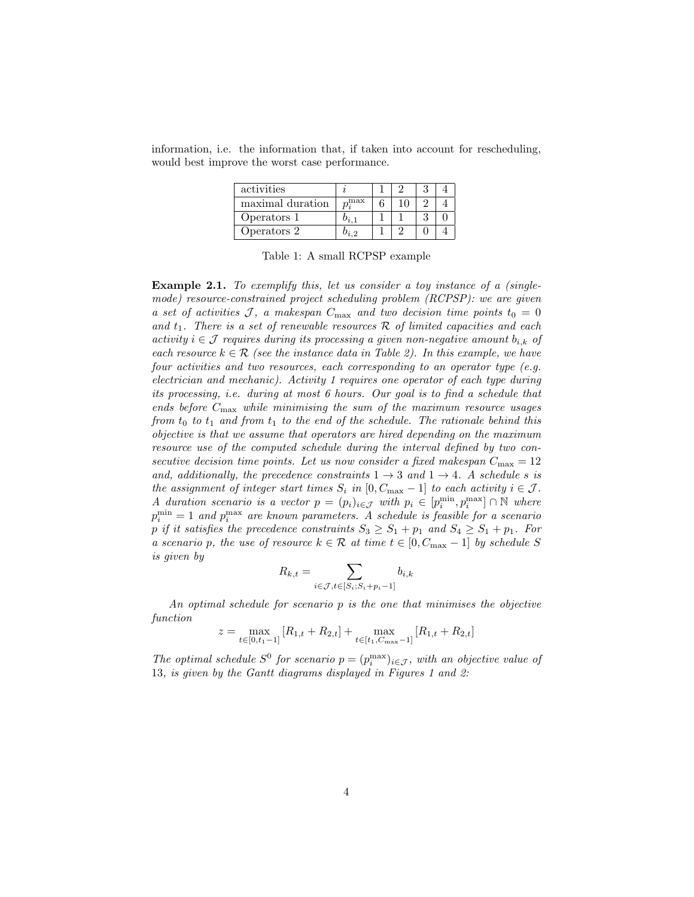information, i.e. the information that, if taken into account for rescheduling, would best improve the worst case performance.

| activities       |                |  |  |
|------------------|----------------|--|--|
| maximal duration | $_{\rm m}$ max |  |  |
| Operators 1      |                |  |  |
| Operators 2      |                |  |  |

Table 1: A small RCPSP example

Example 2.1. To exemplify this, let us consider a toy instance of a (singlemode) resource-constrained project scheduling problem (RCPSP): we are given a set of activities J, a makespan  $C_{\text{max}}$  and two decision time points  $t_0 = 0$ and  $t_1$ . There is a set of renewable resources  $\mathcal R$  of limited capacities and each activity  $i \in \mathcal{J}$  requires during its processing a given non-negative amount  $b_{i,k}$  of each resource  $k \in \mathcal{R}$  (see the instance data in Table 2). In this example, we have four activities and two resources, each corresponding to an operator type (e.g. electrician and mechanic). Activity 1 requires one operator of each type during its processing, i.e. during at most 6 hours. Our goal is to find a schedule that ends before  $C_{\text{max}}$  while minimising the sum of the maximum resource usages from  $t_0$  to  $t_1$  and from  $t_1$  to the end of the schedule. The rationale behind this objective is that we assume that operators are hired depending on the maximum resource use of the computed schedule during the interval defined by two consecutive decision time points. Let us now consider a fixed makespan  $C_{\text{max}} = 12$ and, additionally, the precedence constraints  $1 \rightarrow 3$  and  $1 \rightarrow 4$ . A schedule s is the assignment of integer start times  $S_i$  in  $[0, C_{\text{max}} - 1]$  to each activity  $i \in \mathcal{J}$ . A duration scenario is a vector  $p = (p_i)_{i \in \mathcal{J}}$  with  $p_i \in [p_i^{\min}, p_i^{\max}] \cap \mathbb{N}$  where  $p_i^{\min} = 1$  and  $p_i^{\max}$  are known parameters. A schedule is feasible for a scenario p if it satisfies the precedence constraints  $S_3 \geq S_1 + p_1$  and  $S_4 \geq S_1 + p_1$ . For a scenario p, the use of resource  $k \in \mathcal{R}$  at time  $t \in [0, C_{\text{max}} - 1]$  by schedule S is given by

$$
R_{k,t} = \sum_{i \in \mathcal{J}, t \in [S_i; S_i + p_i - 1]} b_{i,k}
$$

An optimal schedule for scenario p is the one that minimises the objective function

$$
z = \max_{t \in [0, t_1 - 1]} [R_{1,t} + R_{2,t}] + \max_{t \in [t_1, C_{\text{max}} - 1]} [R_{1,t} + R_{2,t}]
$$

The optimal schedule  $S^0$  for scenario  $p = (p_i^{\max})_{i \in \mathcal{J}}$ , with an objective value of 13, is given by the Gantt diagrams displayed in Figures 1 and 2: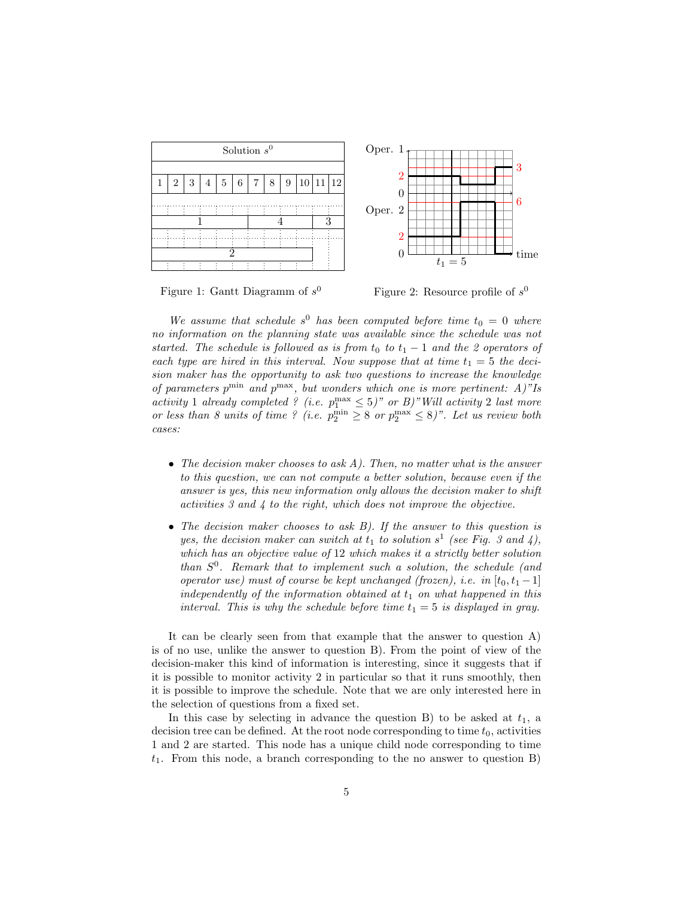

Figure 1: Gantt Diagramm of  $s^0$ 

Figure 2: Resource profile of  $s^0$ 

We assume that schedule  $s^0$  has been computed before time  $t_0 = 0$  where no information on the planning state was available since the schedule was not started. The schedule is followed as is from  $t_0$  to  $t_1 - 1$  and the 2 operators of each type are hired in this interval. Now suppose that at time  $t_1 = 5$  the decision maker has the opportunity to ask two questions to increase the knowledge of parameters  $p^{\min}$  and  $p^{\max}$ , but wonders which one is more pertinent: A)"Is activity 1 already completed ? (i.e.  $p_1^{\max} \leq 5$ )" or B)" Will activity 2 last more or less than 8 units of time ? (i.e.  $p_2^{\min} \geq 8$  or  $p_2^{\max} \leq 8$ )". Let us review both cases:

- The decision maker chooses to ask  $A$ ). Then, no matter what is the answer to this question, we can not compute a better solution, because even if the answer is yes, this new information only allows the decision maker to shift activities 3 and 4 to the right, which does not improve the objective.
- The decision maker chooses to ask B). If the answer to this question is yes, the decision maker can switch at  $t_1$  to solution  $s^1$  (see Fig. 3 and 4), which has an objective value of 12 which makes it a strictly better solution than  $S^0$ . Remark that to implement such a solution, the schedule (and operator use) must of course be kept unchanged (frozen), i.e. in  $[t_0, t_1 - 1]$ independently of the information obtained at  $t_1$  on what happened in this interval. This is why the schedule before time  $t_1 = 5$  is displayed in gray.

It can be clearly seen from that example that the answer to question A) is of no use, unlike the answer to question B). From the point of view of the decision-maker this kind of information is interesting, since it suggests that if it is possible to monitor activity 2 in particular so that it runs smoothly, then it is possible to improve the schedule. Note that we are only interested here in the selection of questions from a fixed set.

In this case by selecting in advance the question B) to be asked at  $t_1$ , a decision tree can be defined. At the root node corresponding to time  $t_0$ , activities 1 and 2 are started. This node has a unique child node corresponding to time  $t_1$ . From this node, a branch corresponding to the no answer to question B)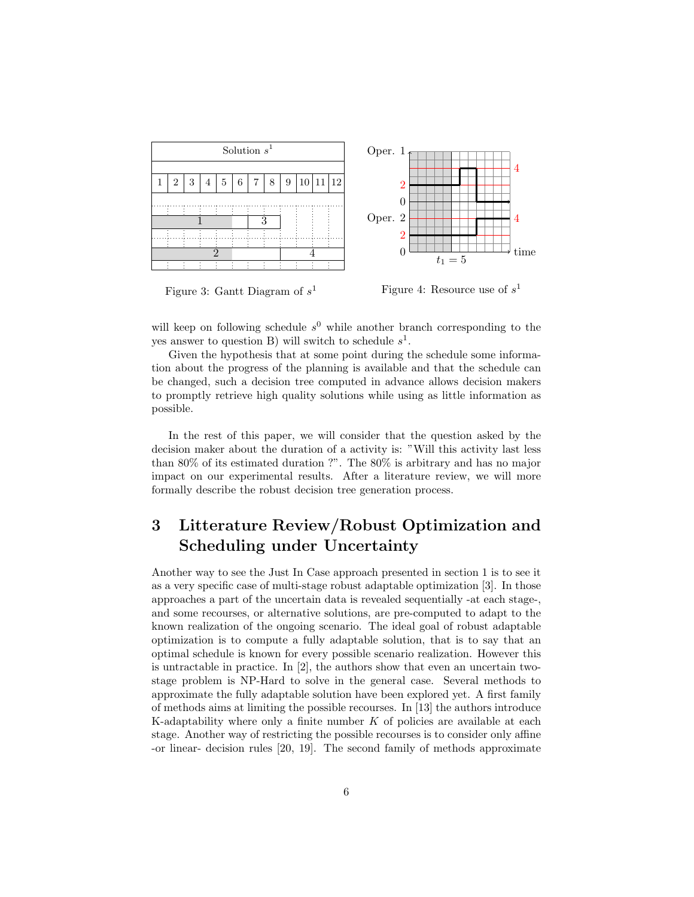

Figure 3: Gantt Diagram of  $s<sup>1</sup>$ Figure 4: Resource use of  $s^1$ 

will keep on following schedule  $s^0$  while another branch corresponding to the yes answer to question B) will switch to schedule  $s^1$ .

Given the hypothesis that at some point during the schedule some information about the progress of the planning is available and that the schedule can be changed, such a decision tree computed in advance allows decision makers to promptly retrieve high quality solutions while using as little information as possible.

In the rest of this paper, we will consider that the question asked by the decision maker about the duration of a activity is: "Will this activity last less than 80% of its estimated duration ?". The 80% is arbitrary and has no major impact on our experimental results. After a literature review, we will more formally describe the robust decision tree generation process.

# 3 Litterature Review/Robust Optimization and Scheduling under Uncertainty

Another way to see the Just In Case approach presented in section 1 is to see it as a very specific case of multi-stage robust adaptable optimization [3]. In those approaches a part of the uncertain data is revealed sequentially -at each stage-, and some recourses, or alternative solutions, are pre-computed to adapt to the known realization of the ongoing scenario. The ideal goal of robust adaptable optimization is to compute a fully adaptable solution, that is to say that an optimal schedule is known for every possible scenario realization. However this is untractable in practice. In [2], the authors show that even an uncertain twostage problem is NP-Hard to solve in the general case. Several methods to approximate the fully adaptable solution have been explored yet. A first family of methods aims at limiting the possible recourses. In [13] the authors introduce K-adaptability where only a finite number  $K$  of policies are available at each stage. Another way of restricting the possible recourses is to consider only affine -or linear- decision rules [20, 19]. The second family of methods approximate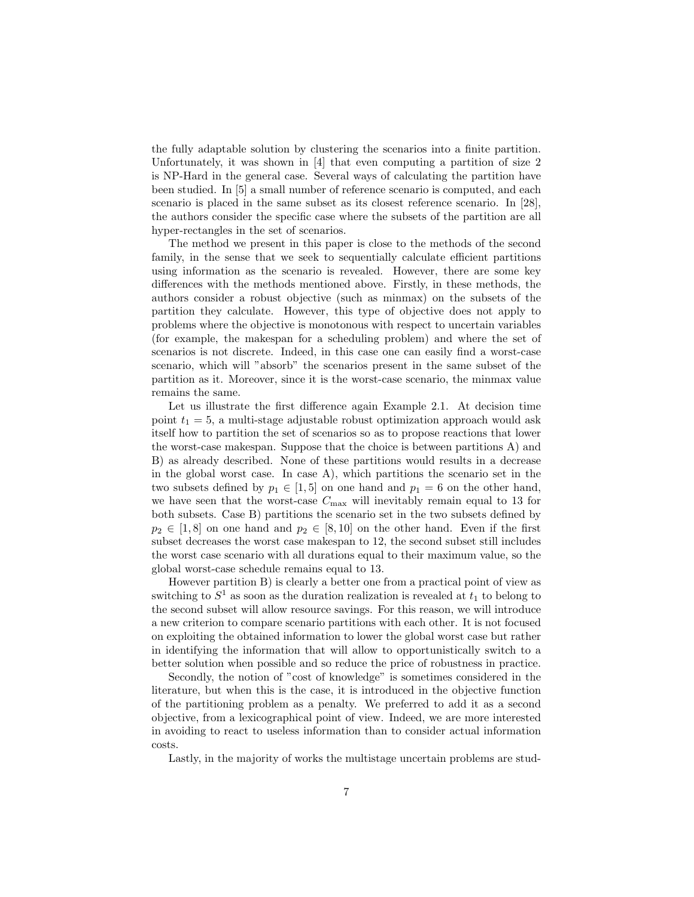the fully adaptable solution by clustering the scenarios into a finite partition. Unfortunately, it was shown in [4] that even computing a partition of size 2 is NP-Hard in the general case. Several ways of calculating the partition have been studied. In [5] a small number of reference scenario is computed, and each scenario is placed in the same subset as its closest reference scenario. In [28], the authors consider the specific case where the subsets of the partition are all hyper-rectangles in the set of scenarios.

The method we present in this paper is close to the methods of the second family, in the sense that we seek to sequentially calculate efficient partitions using information as the scenario is revealed. However, there are some key differences with the methods mentioned above. Firstly, in these methods, the authors consider a robust objective (such as minmax) on the subsets of the partition they calculate. However, this type of objective does not apply to problems where the objective is monotonous with respect to uncertain variables (for example, the makespan for a scheduling problem) and where the set of scenarios is not discrete. Indeed, in this case one can easily find a worst-case scenario, which will "absorb" the scenarios present in the same subset of the partition as it. Moreover, since it is the worst-case scenario, the minmax value remains the same.

Let us illustrate the first difference again Example 2.1. At decision time point  $t_1 = 5$ , a multi-stage adjustable robust optimization approach would ask itself how to partition the set of scenarios so as to propose reactions that lower the worst-case makespan. Suppose that the choice is between partitions A) and B) as already described. None of these partitions would results in a decrease in the global worst case. In case A), which partitions the scenario set in the two subsets defined by  $p_1 \in [1, 5]$  on one hand and  $p_1 = 6$  on the other hand, we have seen that the worst-case  $C_{\text{max}}$  will inevitably remain equal to 13 for both subsets. Case B) partitions the scenario set in the two subsets defined by  $p_2 \in [1, 8]$  on one hand and  $p_2 \in [8, 10]$  on the other hand. Even if the first subset decreases the worst case makespan to 12, the second subset still includes the worst case scenario with all durations equal to their maximum value, so the global worst-case schedule remains equal to 13.

However partition B) is clearly a better one from a practical point of view as switching to  $S^1$  as soon as the duration realization is revealed at  $t_1$  to belong to the second subset will allow resource savings. For this reason, we will introduce a new criterion to compare scenario partitions with each other. It is not focused on exploiting the obtained information to lower the global worst case but rather in identifying the information that will allow to opportunistically switch to a better solution when possible and so reduce the price of robustness in practice.

Secondly, the notion of "cost of knowledge" is sometimes considered in the literature, but when this is the case, it is introduced in the objective function of the partitioning problem as a penalty. We preferred to add it as a second objective, from a lexicographical point of view. Indeed, we are more interested in avoiding to react to useless information than to consider actual information costs.

Lastly, in the majority of works the multistage uncertain problems are stud-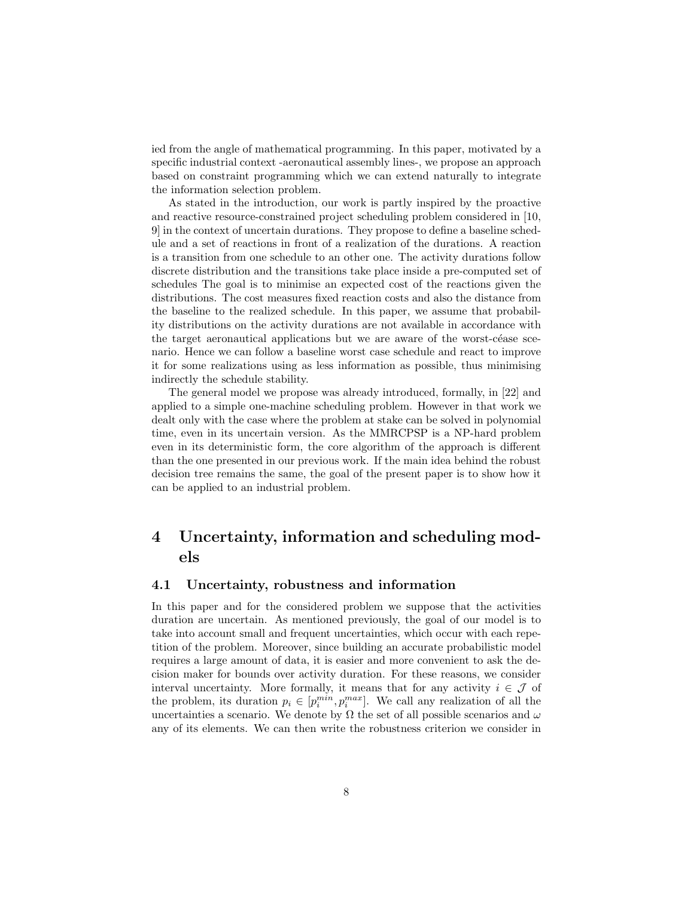ied from the angle of mathematical programming. In this paper, motivated by a specific industrial context -aeronautical assembly lines-, we propose an approach based on constraint programming which we can extend naturally to integrate the information selection problem.

As stated in the introduction, our work is partly inspired by the proactive and reactive resource-constrained project scheduling problem considered in [10, 9] in the context of uncertain durations. They propose to define a baseline schedule and a set of reactions in front of a realization of the durations. A reaction is a transition from one schedule to an other one. The activity durations follow discrete distribution and the transitions take place inside a pre-computed set of schedules The goal is to minimise an expected cost of the reactions given the distributions. The cost measures fixed reaction costs and also the distance from the baseline to the realized schedule. In this paper, we assume that probability distributions on the activity durations are not available in accordance with the target aeronautical applications but we are aware of the worst-céase scenario. Hence we can follow a baseline worst case schedule and react to improve it for some realizations using as less information as possible, thus minimising indirectly the schedule stability.

The general model we propose was already introduced, formally, in [22] and applied to a simple one-machine scheduling problem. However in that work we dealt only with the case where the problem at stake can be solved in polynomial time, even in its uncertain version. As the MMRCPSP is a NP-hard problem even in its deterministic form, the core algorithm of the approach is different than the one presented in our previous work. If the main idea behind the robust decision tree remains the same, the goal of the present paper is to show how it can be applied to an industrial problem.

# 4 Uncertainty, information and scheduling models

#### 4.1 Uncertainty, robustness and information

In this paper and for the considered problem we suppose that the activities duration are uncertain. As mentioned previously, the goal of our model is to take into account small and frequent uncertainties, which occur with each repetition of the problem. Moreover, since building an accurate probabilistic model requires a large amount of data, it is easier and more convenient to ask the decision maker for bounds over activity duration. For these reasons, we consider interval uncertainty. More formally, it means that for any activity  $i \in \mathcal{J}$  of the problem, its duration  $p_i \in [p_i^{min}, p_i^{max}]$ . We call any realization of all the uncertainties a scenario. We denote by  $\Omega$  the set of all possible scenarios and  $\omega$ any of its elements. We can then write the robustness criterion we consider in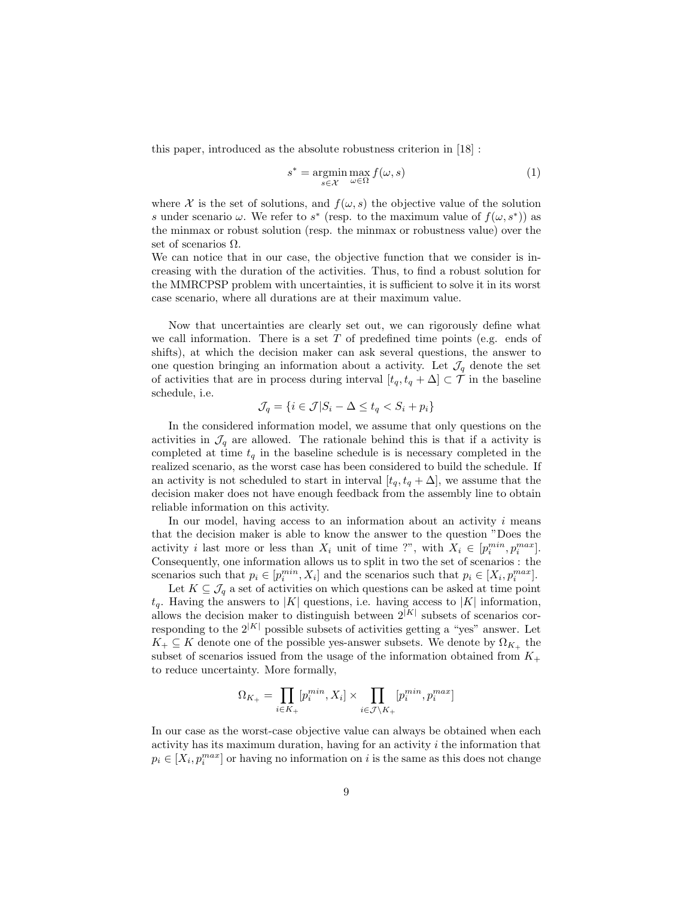this paper, introduced as the absolute robustness criterion in [18] :

$$
s^* = \underset{s \in \mathcal{X}}{\operatorname{argmin}} \max_{\omega \in \Omega} f(\omega, s) \tag{1}
$$

where X is the set of solutions, and  $f(\omega, s)$  the objective value of the solution s under scenario  $\omega$ . We refer to s<sup>\*</sup> (resp. to the maximum value of  $f(\omega, s^*)$ ) as the minmax or robust solution (resp. the minmax or robustness value) over the set of scenarios  $\Omega$ .

We can notice that in our case, the objective function that we consider is increasing with the duration of the activities. Thus, to find a robust solution for the MMRCPSP problem with uncertainties, it is sufficient to solve it in its worst case scenario, where all durations are at their maximum value.

Now that uncertainties are clearly set out, we can rigorously define what we call information. There is a set  $T$  of predefined time points (e.g. ends of shifts), at which the decision maker can ask several questions, the answer to one question bringing an information about a activity. Let  $\mathcal{J}_q$  denote the set of activities that are in process during interval  $[t_q, t_q + \Delta] \subset \mathcal{T}$  in the baseline schedule, i.e.

$$
\mathcal{J}_q = \{ i \in \mathcal{J} | S_i - \Delta \le t_q < S_i + p_i \}
$$

In the considered information model, we assume that only questions on the activities in  $\mathcal{J}_q$  are allowed. The rationale behind this is that if a activity is completed at time  $t_q$  in the baseline schedule is is necessary completed in the realized scenario, as the worst case has been considered to build the schedule. If an activity is not scheduled to start in interval  $[t_q, t_q + \Delta]$ , we assume that the decision maker does not have enough feedback from the assembly line to obtain reliable information on this activity.

In our model, having access to an information about an activity  $i$  means that the decision maker is able to know the answer to the question "Does the activity *i* last more or less than  $X_i$  unit of time ?", with  $X_i \in [p_i^{min}, p_i^{max}]$ . Consequently, one information allows us to split in two the set of scenarios : the scenarios such that  $p_i \in [p_i^{min}, X_i]$  and the scenarios such that  $p_i \in [X_i, p_i^{max}]$ .

Let  $K \subseteq \mathcal{J}_q$  a set of activities on which questions can be asked at time point  $t_q$ . Having the answers to |K| questions, i.e. having access to |K| information, allows the decision maker to distinguish between  $2^{|K|}$  subsets of scenarios corresponding to the  $2^{|K|}$  possible subsets of activities getting a "yes" answer. Let  $K_+ \subseteq K$  denote one of the possible yes-answer subsets. We denote by  $\Omega_{K_+}$  the subset of scenarios issued from the usage of the information obtained from  $K_{+}$ to reduce uncertainty. More formally,

$$
\Omega_{K_+} = \prod_{i \in K_+} [p_i^{min}, X_i] \times \prod_{i \in \mathcal{J} \backslash K_+} [p_i^{min}, p_i^{max}]
$$

In our case as the worst-case objective value can always be obtained when each activity has its maximum duration, having for an activity  $i$  the information that  $p_i \in [X_i, p_i^{max}]$  or having no information on i is the same as this does not change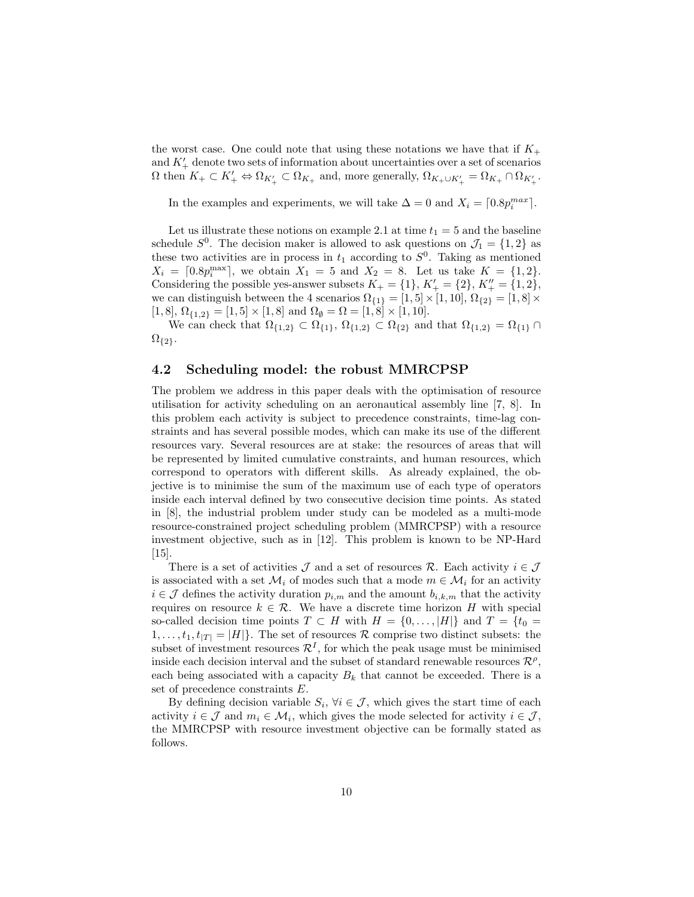the worst case. One could note that using these notations we have that if  $K_{+}$ and  $K'_{+}$  denote two sets of information about uncertainties over a set of scenarios  $\Omega$  then  $K_+ \subset K'_+ \Leftrightarrow \Omega_{K'_+} \subset \Omega_{K_+}$  and, more generally,  $\Omega_{K_+ \cup K'_+} = \Omega_{K_+} \cap \Omega_{K'_+}$ .

In the examples and experiments, we will take  $\Delta = 0$  and  $X_i = \lceil 0.8p_i^{max} \rceil$ .

Let us illustrate these notions on example 2.1 at time  $t_1 = 5$  and the baseline schedule  $S^0$ . The decision maker is allowed to ask questions on  $\mathcal{J}_1 = \{1, 2\}$  as these two activities are in process in  $t_1$  according to  $S^0$ . Taking as mentioned  $X_i = [0.8p_i^{\text{max}}]$ , we obtain  $X_1 = 5$  and  $X_2 = 8$ . Let us take  $K = \{1, 2\}$ . Considering the possible yes-answer subsets  $K_+ = \{1\}, K'_+ = \{2\}, K''_+ = \{1,2\},\$ we can distinguish between the 4 scenarios  $\Omega_{\{1\}} = [1, 5] \times [1, 10]$ ,  $\Omega_{\{2\}} = [1, 8] \times$ [1, 8],  $\Omega_{\{1,2\}} = [1, 5] \times [1, 8]$  and  $\Omega_{\emptyset} = \Omega = [1, 8] \times [1, 10]$ .

We can check that  $\Omega_{\{1,2\}} \subset \Omega_{\{1\}}, \Omega_{\{1,2\}} \subset \Omega_{\{2\}}$  and that  $\Omega_{\{1,2\}} = \Omega_{\{1\}} \cap$  $\Omega_{\{2\}}$ .

#### 4.2 Scheduling model: the robust MMRCPSP

The problem we address in this paper deals with the optimisation of resource utilisation for activity scheduling on an aeronautical assembly line [7, 8]. In this problem each activity is subject to precedence constraints, time-lag constraints and has several possible modes, which can make its use of the different resources vary. Several resources are at stake: the resources of areas that will be represented by limited cumulative constraints, and human resources, which correspond to operators with different skills. As already explained, the objective is to minimise the sum of the maximum use of each type of operators inside each interval defined by two consecutive decision time points. As stated in [8], the industrial problem under study can be modeled as a multi-mode resource-constrained project scheduling problem (MMRCPSP) with a resource investment objective, such as in [12]. This problem is known to be NP-Hard [15].

There is a set of activities  $\mathcal J$  and a set of resources  $\mathcal R$ . Each activity  $i \in \mathcal J$ is associated with a set  $\mathcal{M}_i$  of modes such that a mode  $m \in \mathcal{M}_i$  for an activity  $i \in \mathcal{J}$  defines the activity duration  $p_{i,m}$  and the amount  $b_{i,k,m}$  that the activity requires on resource  $k \in \mathcal{R}$ . We have a discrete time horizon H with special so-called decision time points  $T \subset H$  with  $H = \{0, \ldots, |H|\}$  and  $T = \{t_0 =$  $1, \ldots, t_1, t_{|T|} = |H|$ . The set of resources R comprise two distinct subsets: the subset of investment resources  $\mathcal{R}^{I}$ , for which the peak usage must be minimised inside each decision interval and the subset of standard renewable resources  $\mathcal{R}^{\rho}$ , each being associated with a capacity  $B_k$  that cannot be exceeded. There is a set of precedence constraints E.

By defining decision variable  $S_i$ ,  $\forall i \in \mathcal{J}$ , which gives the start time of each activity  $i \in \mathcal{J}$  and  $m_i \in \mathcal{M}_i$ , which gives the mode selected for activity  $i \in \mathcal{J}$ , the MMRCPSP with resource investment objective can be formally stated as follows.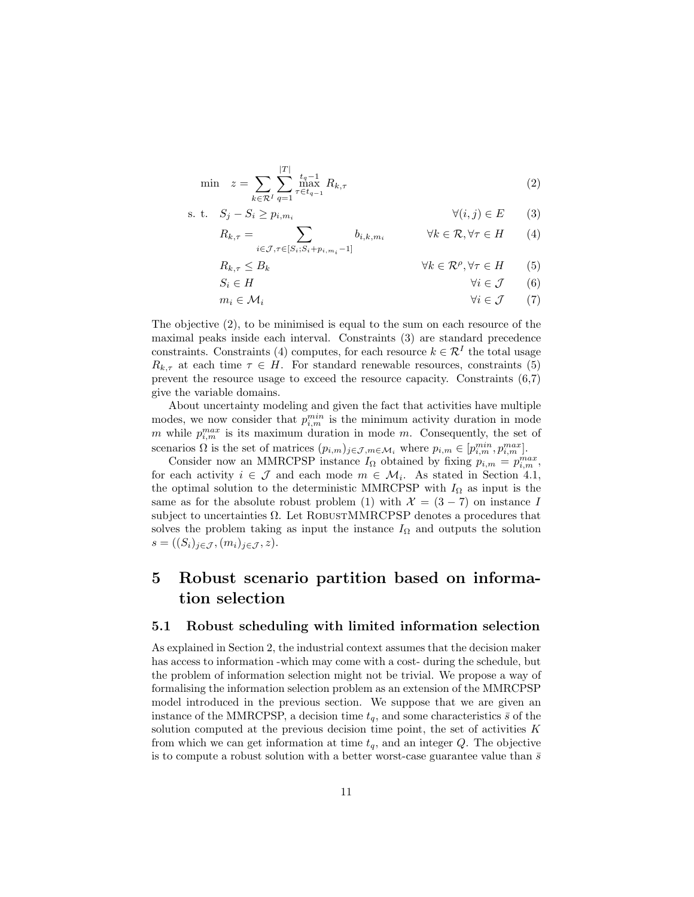$$
\min \quad z = \sum_{k \in \mathcal{R}^I} \sum_{q=1}^{|T|} \max_{\tau \in t_{q-1}}^{t_q - 1} R_{k,\tau} \tag{2}
$$

$$
\text{s. t.} \quad S_j - S_i \ge p_{i, m_i} \qquad \qquad \forall (i, j) \in E \qquad (3)
$$

$$
R_{k,\tau} = \sum_{i \in \mathcal{J}, \tau \in [S_i; S_i + p_{i,m_i} - 1]} b_{i,k,m_i} \qquad \forall k \in \mathcal{R}, \forall \tau \in H \qquad (4)
$$

$$
R_{k,\tau} \leq B_k \qquad \qquad \forall k \in \mathcal{R}^{\rho}, \forall \tau \in H \qquad (5)
$$

$$
S_i \in H \qquad \qquad \forall i \in \mathcal{J} \qquad (6)
$$

$$
m_i \in \mathcal{M}_i \qquad \qquad \forall i \in \mathcal{J} \qquad (7)
$$

The objective (2), to be minimised is equal to the sum on each resource of the maximal peaks inside each interval. Constraints (3) are standard precedence constraints. Constraints (4) computes, for each resource  $k \in \mathcal{R}^{I}$  the total usage  $R_{k,\tau}$  at each time  $\tau \in H$ . For standard renewable resources, constraints (5) prevent the resource usage to exceed the resource capacity. Constraints (6,7) give the variable domains.

About uncertainty modeling and given the fact that activities have multiple modes, we now consider that  $p_{i,m}^{min}$  is the minimum activity duration in mode m while  $p_{i,m}^{max}$  is its maximum duration in mode m. Consequently, the set of scenarios  $\Omega$  is the set of matrices  $(p_{i,m})_{j\in\mathcal{J},m\in\mathcal{M}_i}$  where  $p_{i,m}\in[p_{i,m}^{min},p_{i,m}^{max}].$ 

Consider now an MMRCPSP instance  $I_{\Omega}$  obtained by fixing  $p_{i,m} = p_{i,m}^{max}$ , for each activity  $i \in \mathcal{J}$  and each mode  $m \in \mathcal{M}_i$ . As stated in Section 4.1, the optimal solution to the deterministic MMRCPSP with  $I_{\Omega}$  as input is the same as for the absolute robust problem (1) with  $\mathcal{X} = (3 - 7)$  on instance I subject to uncertainties  $\Omega$ . Let ROBUSTMMRCPSP denotes a procedures that solves the problem taking as input the instance  $I_{\Omega}$  and outputs the solution  $s = ((S_i)_{j \in \mathcal{J}}, (m_i)_{j \in \mathcal{J}}, z).$ 

# 5 Robust scenario partition based on information selection

#### 5.1 Robust scheduling with limited information selection

As explained in Section 2, the industrial context assumes that the decision maker has access to information -which may come with a cost- during the schedule, but the problem of information selection might not be trivial. We propose a way of formalising the information selection problem as an extension of the MMRCPSP model introduced in the previous section. We suppose that we are given an instance of the MMRCPSP, a decision time  $t_q$ , and some characteristics  $\bar{s}$  of the solution computed at the previous decision time point, the set of activities  $K$ from which we can get information at time  $t_q$ , and an integer Q. The objective is to compute a robust solution with a better worst-case guarantee value than  $\bar{s}$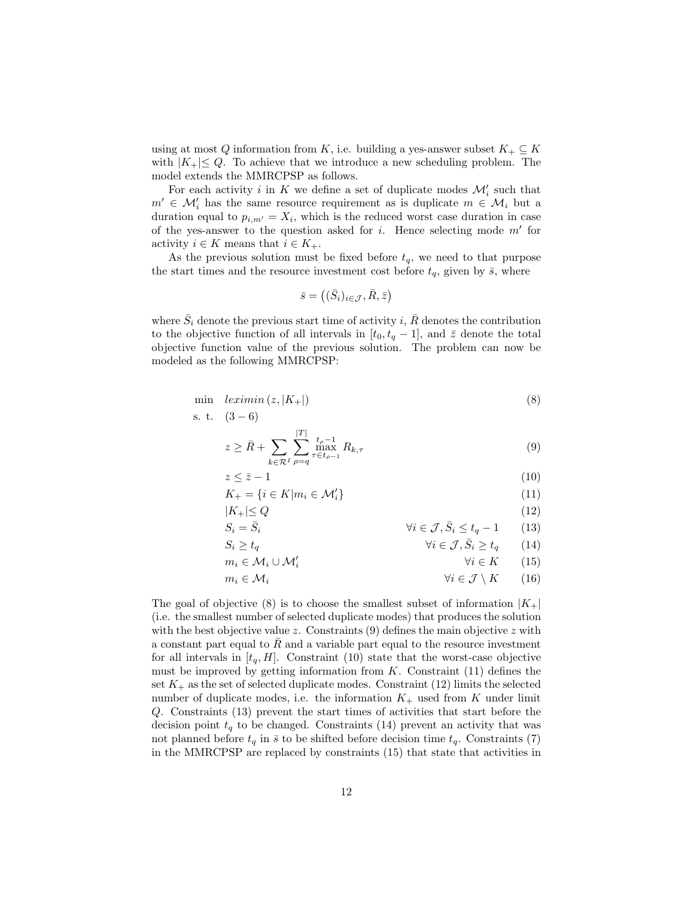using at most Q information from K, i.e. building a yes-answer subset  $K_+ \subseteq K$ with  $|K_+| \leq Q$ . To achieve that we introduce a new scheduling problem. The model extends the MMRCPSP as follows.

For each activity  $i$  in K we define a set of duplicate modes  $\mathcal{M}'_i$  such that  $m' \in \mathcal{M}'_i$  has the same resource requirement as is duplicate  $m \in \mathcal{M}_i$  but a duration equal to  $p_{i,m'} = X_i$ , which is the reduced worst case duration in case of the yes-answer to the question asked for  $i$ . Hence selecting mode  $m'$  for activity  $i \in K$  means that  $i \in K_+$ .

As the previous solution must be fixed before  $t_q$ , we need to that purpose the start times and the resource investment cost before  $t_q$ , given by  $\bar{s}$ , where

$$
\bar{s} = ((\bar{S}_i)_{i \in \mathcal{J}}, \bar{R}, \bar{z})
$$

where  $\bar{S}_i$  denote the previous start time of activity i,  $\bar{R}$  denotes the contribution to the objective function of all intervals in  $[t_0, t_q - 1]$ , and  $\bar{z}$  denote the total objective function value of the previous solution. The problem can now be modeled as the following MMRCPSP:

$$
\min \ \text{leximin} \ (z, |K_+|) \tag{8}
$$

s. t. 
$$
(3-6)
$$

$$
z \ge \bar{R} + \sum_{k \in \mathcal{R}^I} \sum_{\rho=q}^{|T|} \max_{\tau \in t_{\rho-1}}^{\tau_{\rho-1}} R_{k,\tau}
$$
(9)

$$
z \le \bar{z} - 1 \tag{10}
$$

$$
K_{+} = \{ i \in K | m_i \in \mathcal{M}'_i \} \tag{11}
$$

$$
|K_{+}| \le Q \tag{12}
$$

$$
S_i = \bar{S}_i \qquad \qquad \forall i \in \mathcal{J}, \bar{S}_i \le t_q - 1 \qquad (13)
$$

$$
S_i \ge t_q \qquad \qquad \forall i \in \mathcal{J}, \bar{S}_i \ge t_q \qquad (14)
$$

$$
m_i \in \mathcal{M}_i \cup \mathcal{M}'_i \qquad \qquad \forall i \in K \qquad (15)
$$

$$
m_i \in \mathcal{M}_i \qquad \qquad \forall i \in \mathcal{J} \setminus K \qquad (16)
$$

The goal of objective (8) is to choose the smallest subset of information  $|K_+|$ (i.e. the smallest number of selected duplicate modes) that produces the solution with the best objective value z. Constraints  $(9)$  defines the main objective z with a constant part equal to  $R$  and a variable part equal to the resource investment for all intervals in  $[t_q, H]$ . Constraint (10) state that the worst-case objective must be improved by getting information from  $K$ . Constraint  $(11)$  defines the set  $K_{+}$  as the set of selected duplicate modes. Constraint (12) limits the selected number of duplicate modes, i.e. the information  $K_{+}$  used from K under limit Q. Constraints (13) prevent the start times of activities that start before the decision point  $t_q$  to be changed. Constraints (14) prevent an activity that was not planned before  $t_q$  in  $\bar{s}$  to be shifted before decision time  $t_q$ . Constraints (7) in the MMRCPSP are replaced by constraints (15) that state that activities in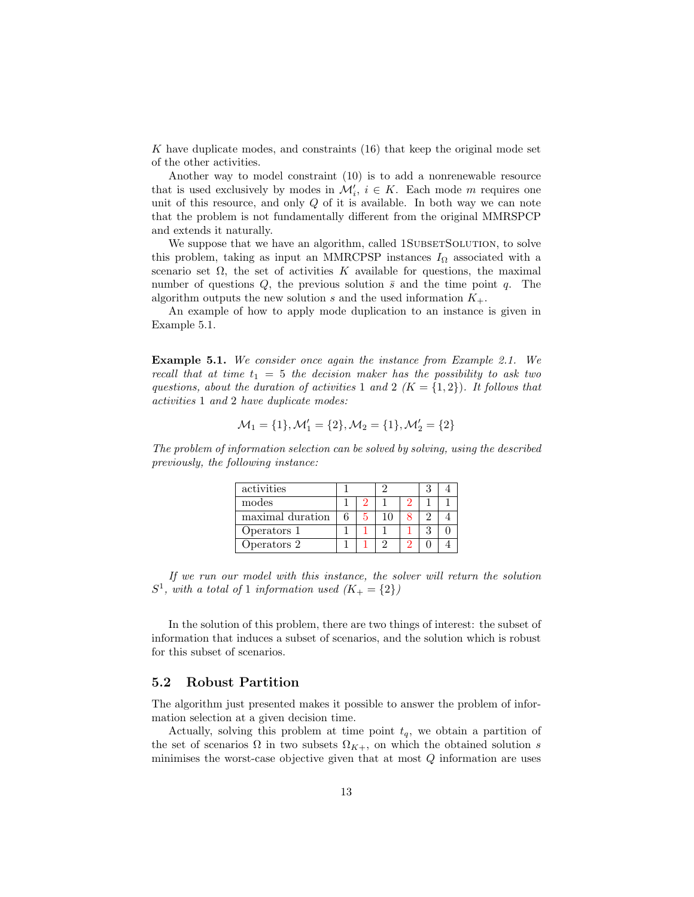K have duplicate modes, and constraints (16) that keep the original mode set of the other activities.

Another way to model constraint (10) is to add a nonrenewable resource that is used exclusively by modes in  $\mathcal{M}'_i$ ,  $i \in K$ . Each mode m requires one unit of this resource, and only  $Q$  of it is available. In both way we can note that the problem is not fundamentally different from the original MMRSPCP and extends it naturally.

We suppose that we have an algorithm, called 1SUBSETSOLUTION, to solve this problem, taking as input an MMRCPSP instances  $I_{\Omega}$  associated with a scenario set  $\Omega$ , the set of activities K available for questions, the maximal number of questions  $Q$ , the previous solution  $\bar{s}$  and the time point  $q$ . The algorithm outputs the new solution s and the used information  $K_{+}$ .

An example of how to apply mode duplication to an instance is given in Example 5.1.

Example 5.1. We consider once again the instance from Example 2.1. We recall that at time  $t_1 = 5$  the decision maker has the possibility to ask two questions, about the duration of activities 1 and 2  $(K = \{1,2\})$ . It follows that activities 1 and 2 have duplicate modes:

$$
\mathcal{M}_1=\{1\}, \mathcal{M}_1'=\{2\}, \mathcal{M}_2=\{1\}, \mathcal{M}_2'=\{2\}
$$

The problem of information selection can be solved by solving, using the described previously, the following instance:

| activities       |  |   |  |  |
|------------------|--|---|--|--|
| modes            |  |   |  |  |
| maximal duration |  |   |  |  |
| Operators 1      |  |   |  |  |
| Operators 2      |  | っ |  |  |

If we run our model with this instance, the solver will return the solution  $S^1$ , with a total of 1 information used  $(K_+ = \{2\})$ 

In the solution of this problem, there are two things of interest: the subset of information that induces a subset of scenarios, and the solution which is robust for this subset of scenarios.

#### 5.2 Robust Partition

The algorithm just presented makes it possible to answer the problem of information selection at a given decision time.

Actually, solving this problem at time point  $t_q$ , we obtain a partition of the set of scenarios  $\Omega$  in two subsets  $\Omega_{K+}$ , on which the obtained solution s minimises the worst-case objective given that at most  $Q$  information are uses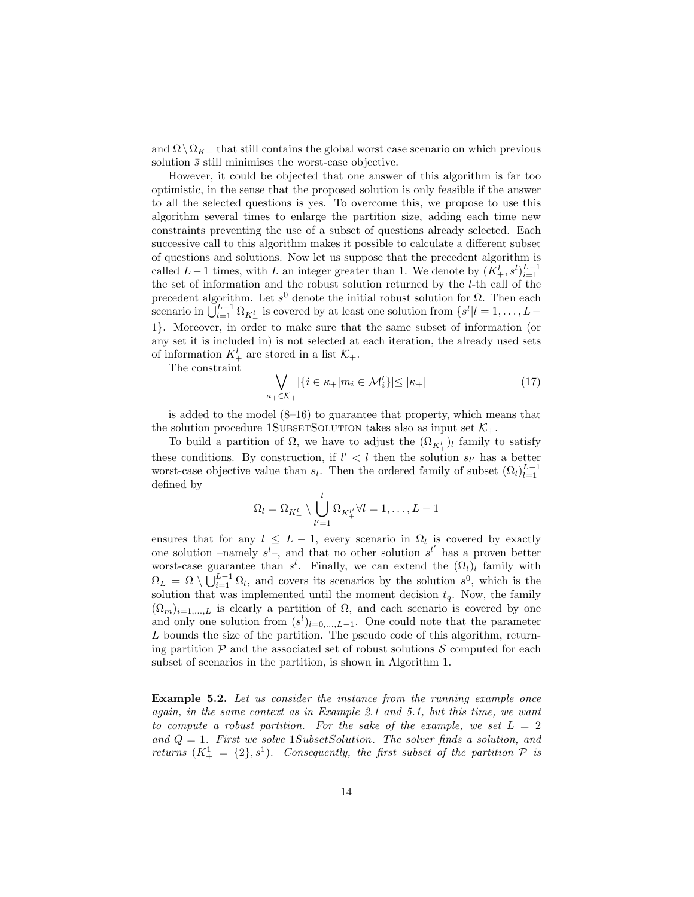and  $\Omega \setminus \Omega_{K+}$  that still contains the global worst case scenario on which previous solution  $\bar{s}$  still minimises the worst-case objective.

However, it could be objected that one answer of this algorithm is far too optimistic, in the sense that the proposed solution is only feasible if the answer to all the selected questions is yes. To overcome this, we propose to use this algorithm several times to enlarge the partition size, adding each time new constraints preventing the use of a subset of questions already selected. Each successive call to this algorithm makes it possible to calculate a different subset of questions and solutions. Now let us suppose that the precedent algorithm is called  $L-1$  times, with L an integer greater than 1. We denote by  $(K^l_+, s^l)_{i=1}^{L-1}$ the set of information and the robust solution returned by the l-th call of the precedent algorithm. Let  $s^0$  denote the initial robust solution for  $\Omega$ . Then each scenario in  $\bigcup_{l=1}^{L-1} \Omega_{K^l_+}$  is covered by at least one solution from  $\{s^l | l = 1, \ldots, L-1\}$ 1}. Moreover, in order to make sure that the same subset of information (or any set it is included in) is not selected at each iteration, the already used sets of information  $K^l_+$  are stored in a list  $\mathcal{K}_+$ .

The constraint

$$
\bigvee_{\kappa_+ \in \mathcal{K}_+} |\{i \in \kappa_+ | m_i \in \mathcal{M}'_i\}| \le |\kappa_+| \tag{17}
$$

is added to the model  $(8-16)$  to guarantee that property, which means that the solution procedure 1SUBSETSOLUTION takes also as input set  $\mathcal{K}_{+}$ .

To build a partition of  $\Omega$ , we have to adjust the  $(\Omega_{K^l_+})_l$  family to satisfy these conditions. By construction, if  $l' < l$  then the solution  $s_{l'}$  has a better worst-case objective value than  $s_l$ . Then the ordered family of subset  $(\Omega_l)_{l=1}^{L-1}$ defined by

$$
\Omega_l = \Omega_{K_+^l} \setminus \bigcup_{l'=1}^l \Omega_{K_+^{l'}} \forall l = 1, \dots, L-1
$$

ensures that for any  $l \leq L-1$ , every scenario in  $\Omega_l$  is covered by exactly one solution –namely  $s^l$ , and that no other solution  $s^{l'}$  has a proven better worst-case guarantee than  $s^l$ . Finally, we can extend the  $(\Omega_l)_l$  family with  $\Omega_L = \Omega \setminus \bigcup_{i=1}^{L-1} \Omega_l$ , and covers its scenarios by the solution  $s^0$ , which is the solution that was implemented until the moment decision  $t_q$ . Now, the family  $(\Omega_m)_{i=1,\dots,L}$  is clearly a partition of  $\Omega$ , and each scenario is covered by one and only one solution from  $(s^{l})_{l=0,...,L-1}$ . One could note that the parameter L bounds the size of the partition. The pseudo code of this algorithm, returning partition  $\mathcal P$  and the associated set of robust solutions  $\mathcal S$  computed for each subset of scenarios in the partition, is shown in Algorithm 1.

Example 5.2. Let us consider the instance from the running example once again, in the same context as in Example 2.1 and 5.1, but this time, we want to compute a robust partition. For the sake of the example, we set  $L = 2$ and  $Q = 1$ . First we solve 1SubsetSolution. The solver finds a solution, and returns  $(K^1_+ = \{2\}, s^1)$ . Consequently, the first subset of the partition  $P$  is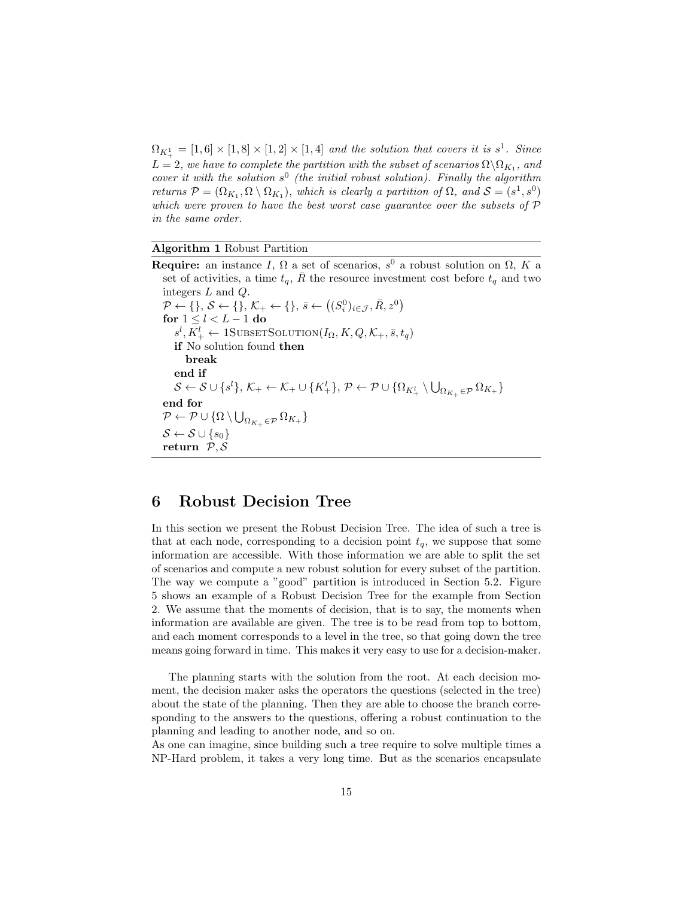$\Omega_{K_+^1} = [1,6] \times [1,8] \times [1,2] \times [1,4]$  and the solution that covers it is  $s^1$ . Since  $L=2,$  we have to complete the partition with the subset of scenarios  $\Omega\backslash\Omega_{K_{1}},$  and cover it with the solution  $s^0$  (the initial robust solution). Finally the algorithm returns  $P = (\Omega_{K_1}, \Omega \setminus \Omega_{K_1})$ , which is clearly a partition of  $\Omega$ , and  $S = (s^1, s^0)$ which were proven to have the best worst case guarantee over the subsets of  $\mathcal P$ in the same order.

#### Algorithm 1 Robust Partition

**Require:** an instance I,  $\Omega$  a set of scenarios,  $s^0$  a robust solution on  $\Omega$ , K a set of activities, a time  $t_q$ ,  $\overline{R}$  the resource investment cost before  $t_q$  and two integers L and Q.  $\mathcal{P} \leftarrow \{\}, \, \mathcal{S} \leftarrow \{\}, \, \mathcal{K}_+ \leftarrow \{\}, \, \bar{s} \leftarrow \left((S_i^0)_{i \in \mathcal{J}}, \bar{R}, z^0\right)$ for  $1 \leq l \leq L-1$  do  $s^l, K^l_+ \leftarrow \text{1SUBSETSOLUTION}(I_\Omega, K, Q, \mathcal{K}_+, \bar{s}, t_q)$ if No solution found then break end if  $\mathcal{S} \leftarrow \mathcal{S} \cup \{s^l\}, \, \mathcal{K}_+ \leftarrow \mathcal{K}_+ \cup \{K_+^l\}, \, \mathcal{P} \leftarrow \mathcal{P} \cup \{\Omega_{K_+^l} \setminus \bigcup_{\Omega_{K_+} \in \mathcal{P}} \Omega_{K_+}\}$ end for  $\mathcal{P} \leftarrow \mathcal{P} \cup \{ \Omega \setminus \bigcup_{\Omega_{K_+} \in \mathcal{P}} \Omega_{K_+} \}$  $\mathcal{S} \leftarrow \mathcal{S} \cup \{s_0\}$ return  $P, S$ 

### 6 Robust Decision Tree

In this section we present the Robust Decision Tree. The idea of such a tree is that at each node, corresponding to a decision point  $t_q$ , we suppose that some information are accessible. With those information we are able to split the set of scenarios and compute a new robust solution for every subset of the partition. The way we compute a "good" partition is introduced in Section 5.2. Figure 5 shows an example of a Robust Decision Tree for the example from Section 2. We assume that the moments of decision, that is to say, the moments when information are available are given. The tree is to be read from top to bottom, and each moment corresponds to a level in the tree, so that going down the tree means going forward in time. This makes it very easy to use for a decision-maker.

The planning starts with the solution from the root. At each decision moment, the decision maker asks the operators the questions (selected in the tree) about the state of the planning. Then they are able to choose the branch corresponding to the answers to the questions, offering a robust continuation to the planning and leading to another node, and so on.

As one can imagine, since building such a tree require to solve multiple times a NP-Hard problem, it takes a very long time. But as the scenarios encapsulate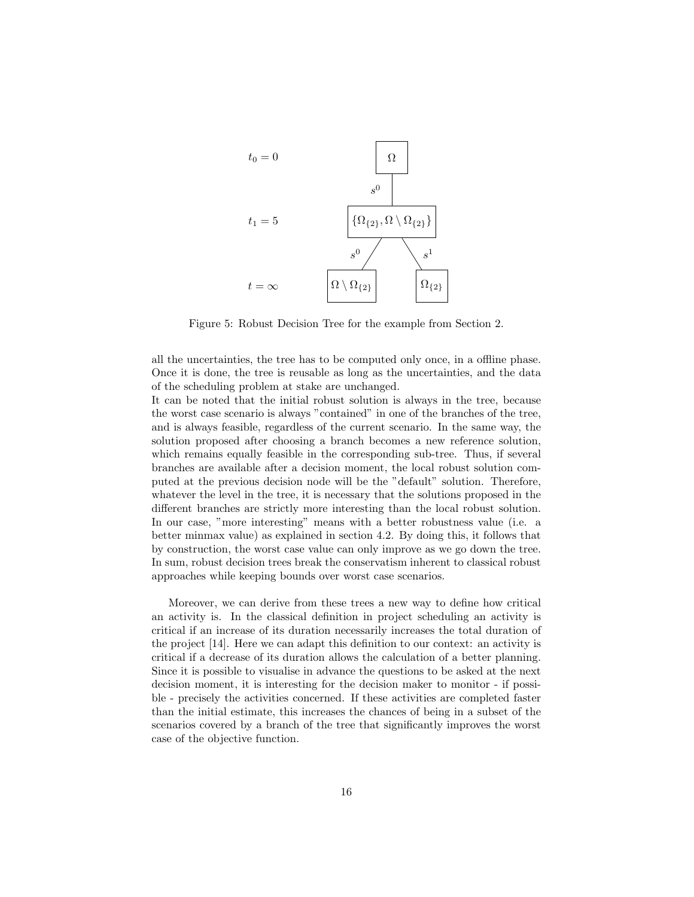

Figure 5: Robust Decision Tree for the example from Section 2.

all the uncertainties, the tree has to be computed only once, in a offline phase. Once it is done, the tree is reusable as long as the uncertainties, and the data of the scheduling problem at stake are unchanged.

It can be noted that the initial robust solution is always in the tree, because the worst case scenario is always "contained" in one of the branches of the tree, and is always feasible, regardless of the current scenario. In the same way, the solution proposed after choosing a branch becomes a new reference solution, which remains equally feasible in the corresponding sub-tree. Thus, if several branches are available after a decision moment, the local robust solution computed at the previous decision node will be the "default" solution. Therefore, whatever the level in the tree, it is necessary that the solutions proposed in the different branches are strictly more interesting than the local robust solution. In our case, "more interesting" means with a better robustness value (i.e. a better minmax value) as explained in section 4.2. By doing this, it follows that by construction, the worst case value can only improve as we go down the tree. In sum, robust decision trees break the conservatism inherent to classical robust approaches while keeping bounds over worst case scenarios.

Moreover, we can derive from these trees a new way to define how critical an activity is. In the classical definition in project scheduling an activity is critical if an increase of its duration necessarily increases the total duration of the project [14]. Here we can adapt this definition to our context: an activity is critical if a decrease of its duration allows the calculation of a better planning. Since it is possible to visualise in advance the questions to be asked at the next decision moment, it is interesting for the decision maker to monitor - if possible - precisely the activities concerned. If these activities are completed faster than the initial estimate, this increases the chances of being in a subset of the scenarios covered by a branch of the tree that significantly improves the worst case of the objective function.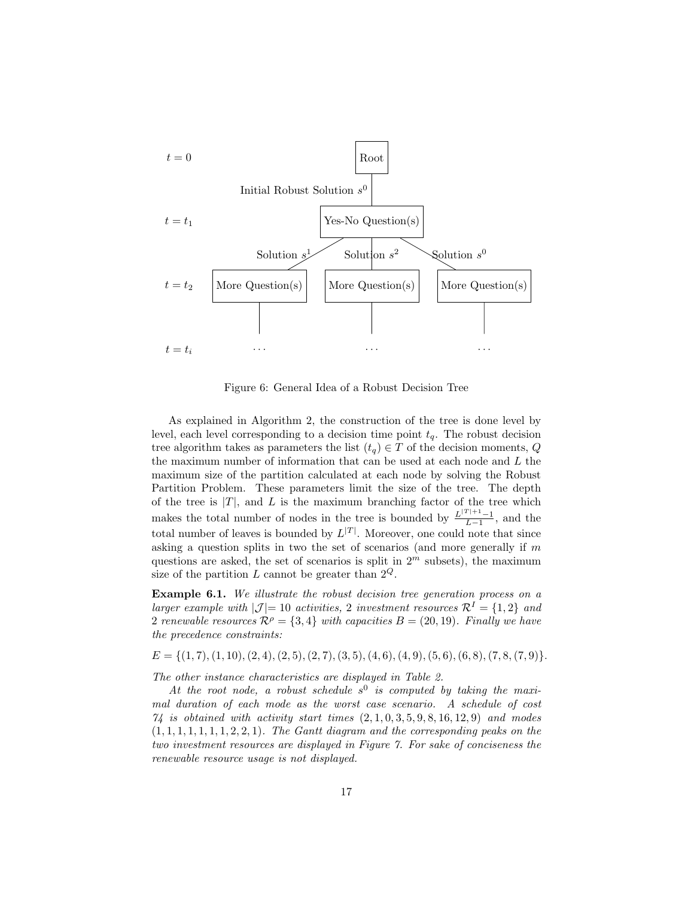

Figure 6: General Idea of a Robust Decision Tree

As explained in Algorithm 2, the construction of the tree is done level by level, each level corresponding to a decision time point  $t<sub>q</sub>$ . The robust decision tree algorithm takes as parameters the list  $(t_q) \in T$  of the decision moments,  $Q$ the maximum number of information that can be used at each node and L the maximum size of the partition calculated at each node by solving the Robust Partition Problem. These parameters limit the size of the tree. The depth of the tree is  $|T|$ , and  $L$  is the maximum branching factor of the tree which makes the total number of nodes in the tree is bounded by  $\frac{L^{(T)+1}-1}{L-1}$ , and the total number of leaves is bounded by  $L^{|T|}$ . Moreover, one could note that since asking a question splits in two the set of scenarios (and more generally if  $m$ questions are asked, the set of scenarios is split in  $2<sup>m</sup>$  subsets), the maximum size of the partition L cannot be greater than  $2^Q$ .

Example 6.1. We illustrate the robust decision tree generation process on a larger example with  $|\mathcal{J}|=10$  activities, 2 investment resources  $\mathcal{R}^I=\{1,2\}$  and 2 renewable resources  $\mathcal{R}^{\rho} = \{3, 4\}$  with capacities  $B = (20, 19)$ . Finally we have the precedence constraints:

 $E = \{(1, 7), (1, 10), (2, 4), (2, 5), (2, 7), (3, 5), (4, 6), (4, 9), (5, 6), (6, 8), (7, 8, (7, 9)\}.$ 

The other instance characteristics are displayed in Table 2.

At the root node, a robust schedule  $s^0$  is computed by taking the maximal duration of each mode as the worst case scenario. A schedule of cost  $74$  is obtained with activity start times  $(2, 1, 0, 3, 5, 9, 8, 16, 12, 9)$  and modes  $(1, 1, 1, 1, 1, 1, 1, 2, 2, 1)$ . The Gantt diagram and the corresponding peaks on the two investment resources are displayed in Figure 7. For sake of conciseness the renewable resource usage is not displayed.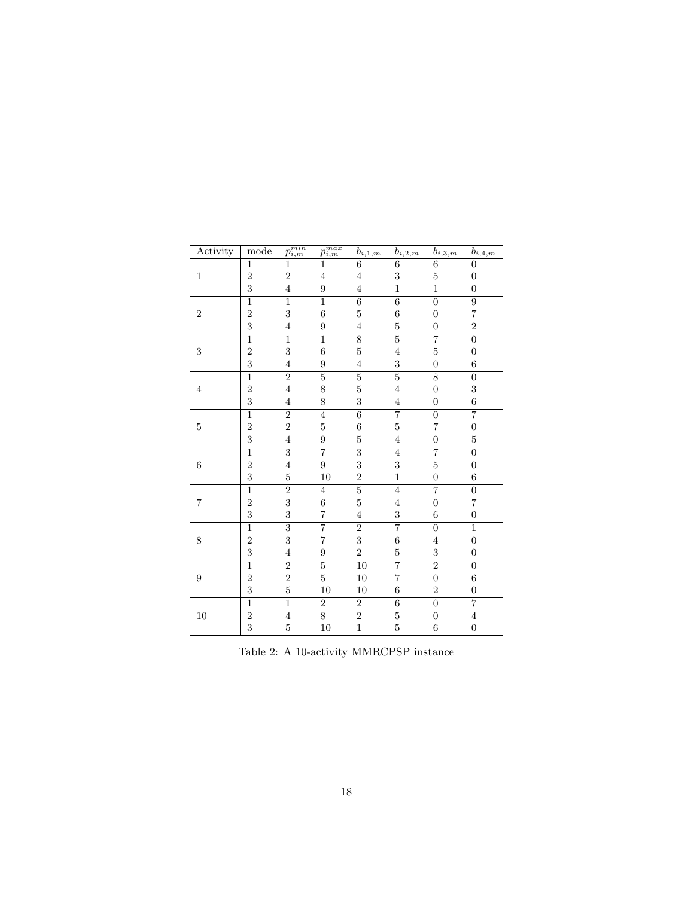| Activity         | mode           | $\overline{p_{i,m}^{min}}$ | $\overline{p_{i,m}^{max}}$ | $b_{i,1,m}$     | $b_{i,\underline{2,m}}$ | $b_{i,3,m}$      | $b_{i,\underline{4,m}}$ |
|------------------|----------------|----------------------------|----------------------------|-----------------|-------------------------|------------------|-------------------------|
|                  | $\mathbf{1}$   | 1                          |                            | 6               | 6                       | $\overline{6}$   | 0                       |
| $\mathbf{1}$     | $\overline{2}$ | $\overline{2}$             | 4                          | 4               | 3                       | $\overline{5}$   | $\boldsymbol{0}$        |
|                  | 3              | $\overline{4}$             | 9                          | 4               | $\mathbf{1}$            | $\mathbf{1}$     | $\overline{0}$          |
|                  | $\overline{1}$ | $\overline{1}$             | $\overline{1}$             | $\overline{6}$  | $\overline{6}$          | $\overline{0}$   | $\overline{9}$          |
| $\overline{2}$   | $\overline{2}$ | 3                          | 6                          | 5               | 6                       | $\overline{0}$   | 7                       |
|                  | 3              | $\overline{4}$             | 9                          | 4               | 5                       | $\overline{0}$   | $\overline{2}$          |
|                  | $\mathbf{1}$   | $\mathbf{1}$               | $\overline{1}$             | $\overline{8}$  | $\overline{5}$          | $\overline{7}$   | $\overline{0}$          |
| $\sqrt{3}$       | $\overline{2}$ | 3                          | $\overline{6}$             | $\overline{5}$  | $\overline{4}$          | $\overline{5}$   | $\boldsymbol{0}$        |
|                  | 3              | $\overline{4}$             | $\overline{9}$             | 4               | 3                       | $\boldsymbol{0}$ | $\boldsymbol{6}$        |
|                  | $\mathbf{1}$   | $\overline{2}$             | $\overline{5}$             | $\overline{5}$  | $\overline{5}$          | $\overline{8}$   | $\boldsymbol{0}$        |
| $\,4\,$          | $\overline{2}$ | $\overline{4}$             | 8                          | $\overline{5}$  | $\overline{4}$          | $\overline{0}$   | 3                       |
|                  | 3              | $\overline{4}$             | 8                          | 3               | $\overline{4}$          | $\overline{0}$   | $\overline{6}$          |
|                  | $\mathbf{1}$   | $\overline{2}$             | $\overline{4}$             | $\overline{6}$  | $\overline{7}$          | $\overline{0}$   | $\overline{7}$          |
| $\bf 5$          | $\overline{2}$ | $\overline{2}$             | $\overline{5}$             | $\overline{6}$  | $\overline{5}$          | 7                | $\boldsymbol{0}$        |
|                  | 3              | $\overline{4}$             | 9                          | 5               | 4                       | $\boldsymbol{0}$ | 5                       |
|                  | $\overline{1}$ | $\overline{3}$             | $\overline{7}$             | $\overline{3}$  | $\overline{4}$          | $\overline{7}$   | $\overline{0}$          |
| $\,6$            | $\overline{2}$ | $\overline{4}$             | $\overline{9}$             | 3               | 3                       | $\overline{5}$   | $\boldsymbol{0}$        |
|                  | 3              | $\overline{5}$             | 10                         | $\overline{2}$  | $\mathbf{1}$            | $\overline{0}$   | 6                       |
|                  | $\mathbf{1}$   | $\overline{2}$             | 4                          | $\overline{5}$  | $\overline{4}$          | $\overline{7}$   | $\overline{0}$          |
| $\overline{7}$   | $\overline{2}$ | 3                          | 6                          | 5               | 4                       | $\overline{0}$   | 7                       |
|                  | 3              | 3                          | 7                          | 4               | 3                       | $\,6$            | $\boldsymbol{0}$        |
|                  | $\mathbf{1}$   | $\overline{3}$             | $\overline{7}$             | $\overline{2}$  | $\overline{7}$          | $\boldsymbol{0}$ | $\overline{1}$          |
| 8                | $\overline{2}$ | 3                          | 7                          | 3               | 6                       | $\overline{4}$   | $\overline{0}$          |
|                  | 3              | $\overline{4}$             | 9                          | $\overline{2}$  | $\overline{5}$          | 3                | $\overline{0}$          |
|                  | $\mathbf{1}$   | $\overline{2}$             | $\overline{5}$             | $\overline{10}$ | 7                       | $\overline{2}$   | $\boldsymbol{0}$        |
| $\boldsymbol{9}$ | $\overline{2}$ | $\overline{2}$             | $\overline{5}$             | 10              | 7                       | $\boldsymbol{0}$ | $\overline{6}$          |
|                  | 3              | $\overline{5}$             | 10                         | 10              | $\boldsymbol{6}$        | $\overline{2}$   | $\boldsymbol{0}$        |
|                  | $\overline{1}$ | $\overline{1}$             | $\overline{2}$             | $\overline{2}$  | $\overline{6}$          | $\overline{0}$   | $\overline{7}$          |
| $10\,$           | $\overline{2}$ | $\overline{4}$             | 8                          | $\overline{2}$  | $\overline{5}$          | $\overline{0}$   | $\overline{4}$          |
|                  | 3              | $\overline{5}$             | 10                         | $\mathbf{1}$    | $\overline{5}$          | $\boldsymbol{6}$ | $\overline{0}$          |

Table 2: A 10-activity MMRCPSP instance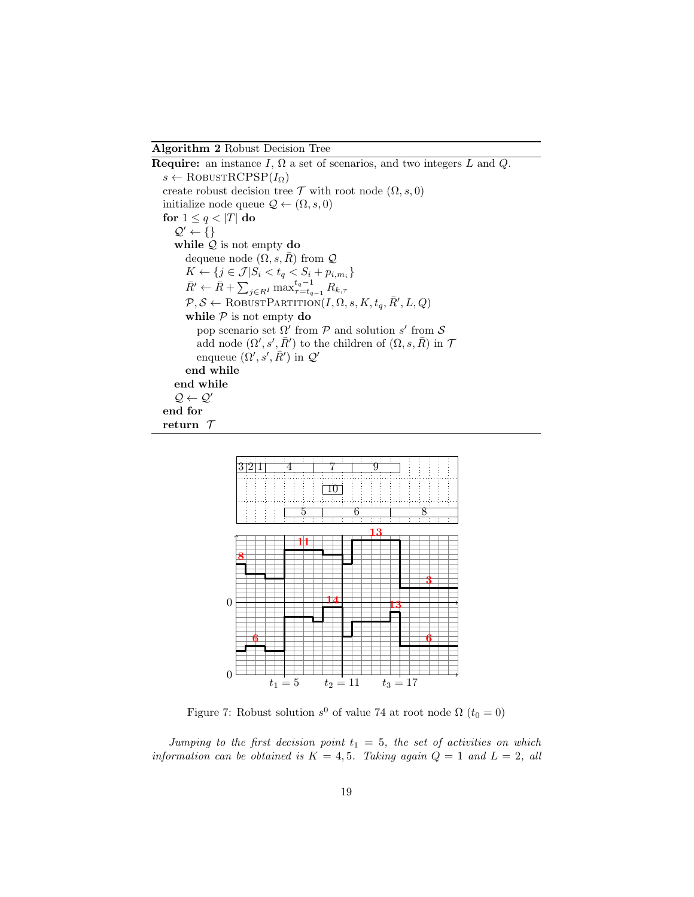Algorithm 2 Robust Decision Tree

**Require:** an instance I,  $\Omega$  a set of scenarios, and two integers L and Q.  $s \leftarrow \text{RobustRCPSP}(I_{\Omega})$ create robust decision tree  $\mathcal T$  with root node  $(\Omega, s, 0)$ initialize node queue  $\mathcal{Q} \leftarrow (\Omega, s, 0)$ for  $1 \leq q < |T|$  do  $\mathcal{Q}' \leftarrow \{\}$ while  $Q$  is not empty do dequeue node  $(\Omega, s, \overline{R})$  from  $\mathcal Q$  $K \leftarrow \{j \in \mathcal{J} | S_i < t_q < S_i + p_{i, m_i} \}$  $\bar{R}' \leftarrow \bar{R} + \sum_{j \in R^I} \max_{\tau=t_{q-1}}^{t_q-1} R_{k,\tau}$  $\mathcal{P}, \mathcal{S} \leftarrow \text{RobUSTPARTITION}(I, \Omega, s, K, t_q, \bar{R}', L, Q)$ while  $P$  is not empty do pop scenario set  $\Omega'$  from  $\mathcal P$  and solution s' from  $\mathcal S$ add node  $(\Omega', s', \overline{R}')$  to the children of  $(\Omega, s, \overline{R})$  in T enqueue  $(\Omega', s', \overline{R}')$  in  $\mathcal{Q}'$ end while end while  $\mathcal{Q} \leftarrow \mathcal{Q}'$ end for return T



Figure 7: Robust solution  $s^0$  of value 74 at root node  $\Omega$   $(t_0 = 0)$ 

Jumping to the first decision point  $t_1 = 5$ , the set of activities on which information can be obtained is  $K = 4, 5$ . Taking again  $Q = 1$  and  $L = 2$ , all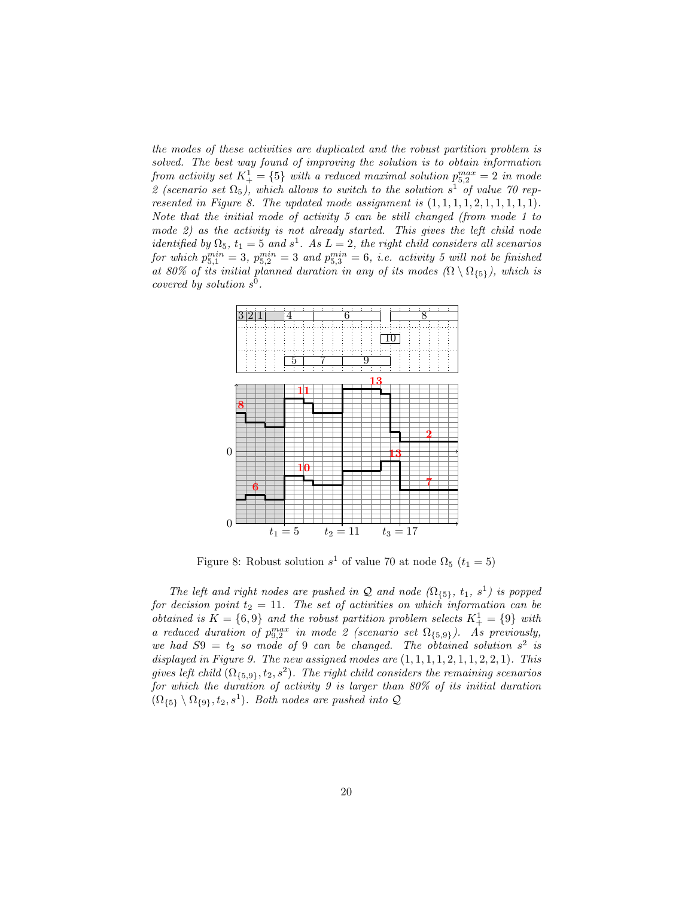the modes of these activities are duplicated and the robust partition problem is solved. The best way found of improving the solution is to obtain information from activity set  $K_+^1 = \{5\}$  with a reduced maximal solution  $p_{5,2}^{max} = 2$  in mode 2 (scenario set  $\Omega_5$ ), which allows to switch to the solution s<sup>1</sup> of value 70 represented in Figure 8. The updated mode assignment is  $(1, 1, 1, 1, 2, 1, 1, 1, 1, 1)$ . Note that the initial mode of activity 5 can be still changed (from mode 1 to mode 2) as the activity is not already started. This gives the left child node identified by  $\Omega_5$ ,  $t_1 = 5$  and  $s^1$ . As  $L = 2$ , the right child considers all scenarios for which  $p_{5,1}^{min} = 3$ ,  $p_{5,2}^{min} = 3$  and  $p_{5,3}^{min} = 6$ , i.e. activity 5 will not be finished at 80% of its initial planned duration in any of its modes  $(\Omega \setminus \Omega_{\{5\}})$ , which is covered by solution  $s^0$ .



Figure 8: Robust solution  $s^1$  of value 70 at node  $\Omega_5$   $(t_1 = 5)$ 

The left and right nodes are pushed in Q and node  $(\Omega_{\{5\}}, t_1, s^1)$  is popped for decision point  $t_2 = 11$ . The set of activities on which information can be obtained is  $K = \{6, 9\}$  and the robust partition problem selects  $K_+^1 = \{9\}$  with a reduced duration of  $p_{9,2}^{max}$  in mode 2 (scenario set  $\Omega_{\{5,9\}}$ ). As previously, we had  $S9 = t_2$  so mode of 9 can be changed. The obtained solution  $s^2$  is displayed in Figure 9. The new assigned modes are  $(1, 1, 1, 1, 2, 1, 1, 2, 2, 1)$ . This gives left child  $(\Omega_{\{5,9\}}, t_2, s^2)$ . The right child considers the remaining scenarios for which the duration of activity 9 is larger than 80% of its initial duration  $(\Omega_{\{5\}} \setminus \Omega_{\{9\}}, t_2, s^1)$ . Both nodes are pushed into Q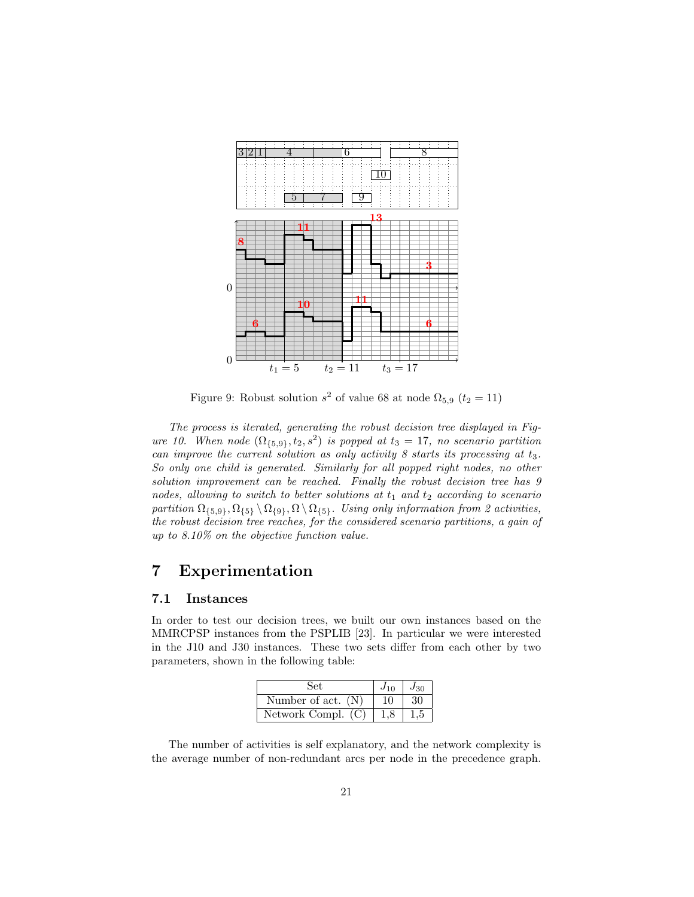

Figure 9: Robust solution  $s^2$  of value 68 at node  $\Omega_{5,9}$   $(t_2 = 11)$ 

The process is iterated, generating the robust decision tree displayed in Figure 10. When node  $(\Omega_{\{5,9\}}, t_2, s^2)$  is popped at  $t_3 = 17$ , no scenario partition can improve the current solution as only activity  $8$  starts its processing at  $t_3$ . So only one child is generated. Similarly for all popped right nodes, no other solution improvement can be reached. Finally the robust decision tree has 9 nodes, allowing to switch to better solutions at  $t_1$  and  $t_2$  according to scenario partition  $\Omega_{\{5,9\}}, \Omega_{\{5\}} \setminus \Omega_{\{9\}}, \Omega \setminus \Omega_{\{5\}}$ . Using only information from 2 activities, the robust decision tree reaches, for the considered scenario partitions, a gain of up to 8.10% on the objective function value.

## 7 Experimentation

#### 7.1 Instances

In order to test our decision trees, we built our own instances based on the MMRCPSP instances from the PSPLIB [23]. In particular we were interested in the J10 and J30 instances. These two sets differ from each other by two parameters, shown in the following table:

| Set.                 | $J_{10}$ | $J_{30}$ |
|----------------------|----------|----------|
| Number of act. $(N)$ | 10       | 30       |
| Network Compl. $(C)$ |          |          |

The number of activities is self explanatory, and the network complexity is the average number of non-redundant arcs per node in the precedence graph.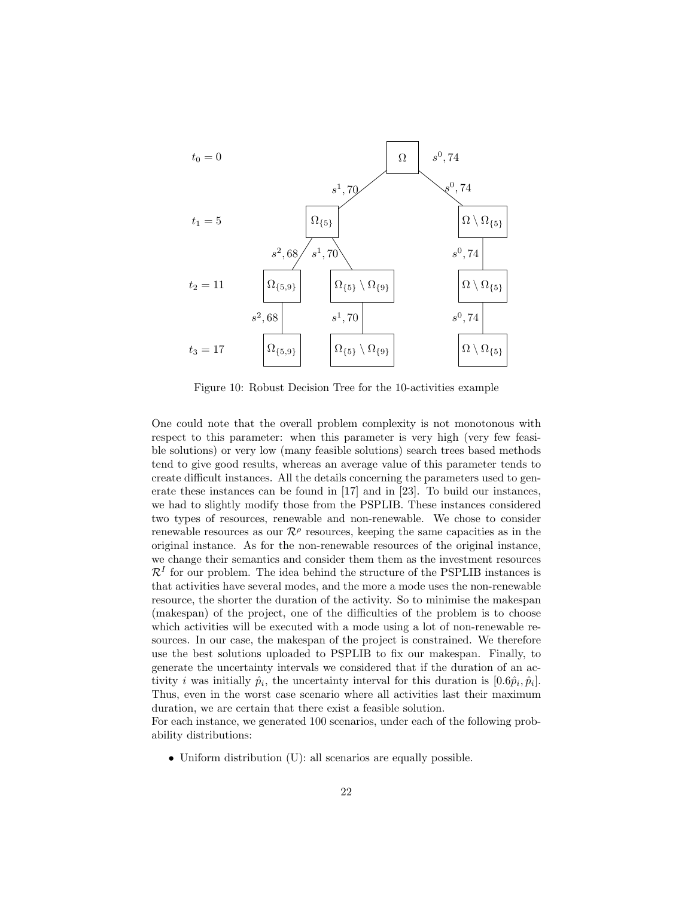

Figure 10: Robust Decision Tree for the 10-activities example

One could note that the overall problem complexity is not monotonous with respect to this parameter: when this parameter is very high (very few feasible solutions) or very low (many feasible solutions) search trees based methods tend to give good results, whereas an average value of this parameter tends to create difficult instances. All the details concerning the parameters used to generate these instances can be found in [17] and in [23]. To build our instances, we had to slightly modify those from the PSPLIB. These instances considered two types of resources, renewable and non-renewable. We chose to consider renewable resources as our  $\mathcal{R}^{\rho}$  resources, keeping the same capacities as in the original instance. As for the non-renewable resources of the original instance, we change their semantics and consider them them as the investment resources  $\mathcal{R}^{I}$  for our problem. The idea behind the structure of the PSPLIB instances is that activities have several modes, and the more a mode uses the non-renewable resource, the shorter the duration of the activity. So to minimise the makespan (makespan) of the project, one of the difficulties of the problem is to choose which activities will be executed with a mode using a lot of non-renewable resources. In our case, the makespan of the project is constrained. We therefore use the best solutions uploaded to PSPLIB to fix our makespan. Finally, to generate the uncertainty intervals we considered that if the duration of an activity *i* was initially  $\hat{p}_i$ , the uncertainty interval for this duration is  $[0.6\hat{p}_i, \hat{p}_i]$ . Thus, even in the worst case scenario where all activities last their maximum duration, we are certain that there exist a feasible solution.

For each instance, we generated 100 scenarios, under each of the following probability distributions:

• Uniform distribution (U): all scenarios are equally possible.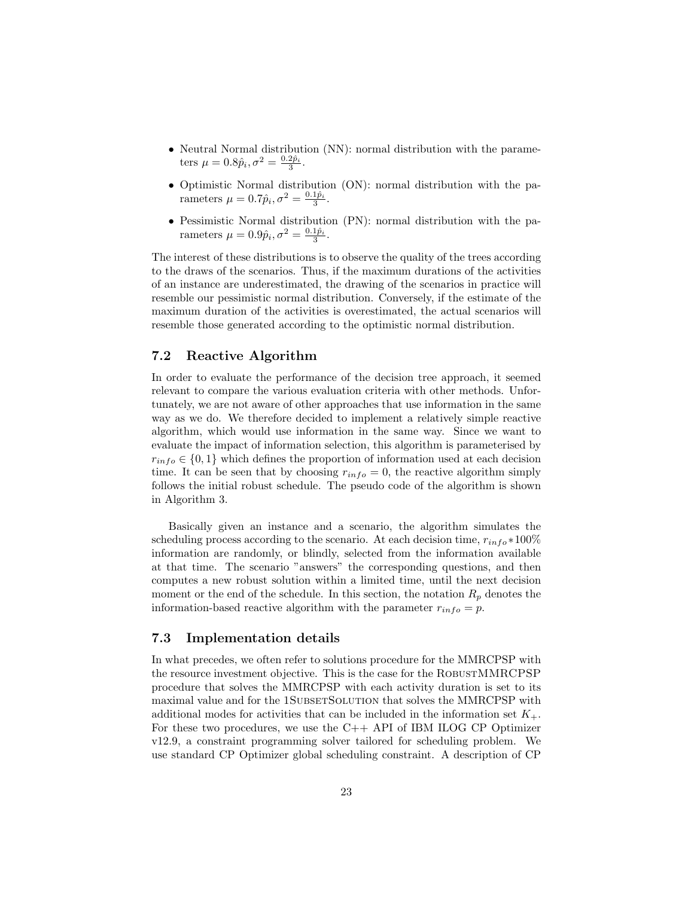- Neutral Normal distribution (NN): normal distribution with the parameters  $\mu = 0.8\hat{p}_i, \sigma^2 = \frac{0.2\hat{p}_i}{3}.$
- Optimistic Normal distribution (ON): normal distribution with the parameters  $\mu = 0.7\hat{p}_i, \sigma^2 = \frac{0.1\hat{p}_i}{3}.$
- Pessimistic Normal distribution (PN): normal distribution with the parameters  $\mu = 0.9\hat{p}_i, \sigma^2 = \frac{0.1\hat{p}_i}{3}.$

The interest of these distributions is to observe the quality of the trees according to the draws of the scenarios. Thus, if the maximum durations of the activities of an instance are underestimated, the drawing of the scenarios in practice will resemble our pessimistic normal distribution. Conversely, if the estimate of the maximum duration of the activities is overestimated, the actual scenarios will resemble those generated according to the optimistic normal distribution.

#### 7.2 Reactive Algorithm

In order to evaluate the performance of the decision tree approach, it seemed relevant to compare the various evaluation criteria with other methods. Unfortunately, we are not aware of other approaches that use information in the same way as we do. We therefore decided to implement a relatively simple reactive algorithm, which would use information in the same way. Since we want to evaluate the impact of information selection, this algorithm is parameterised by  $r_{info} \in \{0, 1\}$  which defines the proportion of information used at each decision time. It can be seen that by choosing  $r_{info} = 0$ , the reactive algorithm simply follows the initial robust schedule. The pseudo code of the algorithm is shown in Algorithm 3.

Basically given an instance and a scenario, the algorithm simulates the scheduling process according to the scenario. At each decision time,  $r_{info} * 100\%$ information are randomly, or blindly, selected from the information available at that time. The scenario "answers" the corresponding questions, and then computes a new robust solution within a limited time, until the next decision moment or the end of the schedule. In this section, the notation  $R_p$  denotes the information-based reactive algorithm with the parameter  $r_{info} = p$ .

#### 7.3 Implementation details

In what precedes, we often refer to solutions procedure for the MMRCPSP with the resource investment objective. This is the case for the ROBUSTMMRCPSP procedure that solves the MMRCPSP with each activity duration is set to its maximal value and for the 1SUBSETSOLUTION that solves the MMRCPSP with additional modes for activities that can be included in the information set  $K_{+}$ . For these two procedures, we use the  $C++$  API of IBM ILOG CP Optimizer v12.9, a constraint programming solver tailored for scheduling problem. We use standard CP Optimizer global scheduling constraint. A description of CP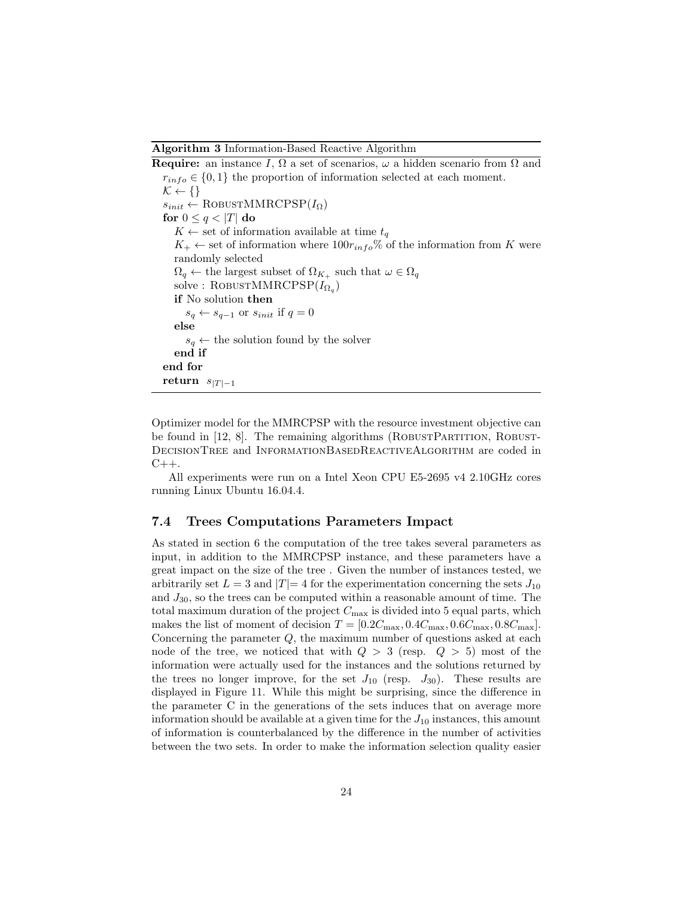Algorithm 3 Information-Based Reactive Algorithm

**Require:** an instance I,  $\Omega$  a set of scenarios,  $\omega$  a hidden scenario from  $\Omega$  and  $r_{info} \in \{0, 1\}$  the proportion of information selected at each moment.  $\mathcal{K} \leftarrow \{\}$  $s_{init} \leftarrow \text{RobusTMMRCPSP}(I_{\Omega})$ for  $0 \leq q < |T|$  do  $K \leftarrow$  set of information available at time  $t_q$  $K_+ \leftarrow$  set of information where  $100r_{info}\%$  of the information from K were randomly selected  $\Omega_q \leftarrow$  the largest subset of  $\Omega_{K_+}$  such that  $\omega \in \Omega_q$  $\text{solve}: \text{Robus} \text{TMMRCPSP}(I_{\Omega_q})$ if No solution then  $s_q \leftarrow s_{q-1}$  or  $s_{init}$  if  $q = 0$ else  $s_q \leftarrow$  the solution found by the solver end if end for return  $s_{|T|-1}$ 

Optimizer model for the MMRCPSP with the resource investment objective can be found in [12, 8]. The remaining algorithms (ROBUSTPARTITION, ROBUST-DecisionTree and InformationBasedReactiveAlgorithm are coded in  $C_{++}$ .

All experiments were run on a Intel Xeon CPU E5-2695 v4 2.10GHz cores running Linux Ubuntu 16.04.4.

#### 7.4 Trees Computations Parameters Impact

As stated in section 6 the computation of the tree takes several parameters as input, in addition to the MMRCPSP instance, and these parameters have a great impact on the size of the tree . Given the number of instances tested, we arbitrarily set  $L = 3$  and  $|T| = 4$  for the experimentation concerning the sets  $J_{10}$ and  $J_{30}$ , so the trees can be computed within a reasonable amount of time. The total maximum duration of the project  $C_{\text{max}}$  is divided into 5 equal parts, which makes the list of moment of decision  $T = [0.2C_{\text{max}}, 0.4C_{\text{max}}, 0.6C_{\text{max}}, 0.8C_{\text{max}}].$ Concerning the parameter  $Q$ , the maximum number of questions asked at each node of the tree, we noticed that with  $Q > 3$  (resp.  $Q > 5$ ) most of the information were actually used for the instances and the solutions returned by the trees no longer improve, for the set  $J_{10}$  (resp.  $J_{30}$ ). These results are displayed in Figure 11. While this might be surprising, since the difference in the parameter C in the generations of the sets induces that on average more information should be available at a given time for the  $J_{10}$  instances, this amount of information is counterbalanced by the difference in the number of activities between the two sets. In order to make the information selection quality easier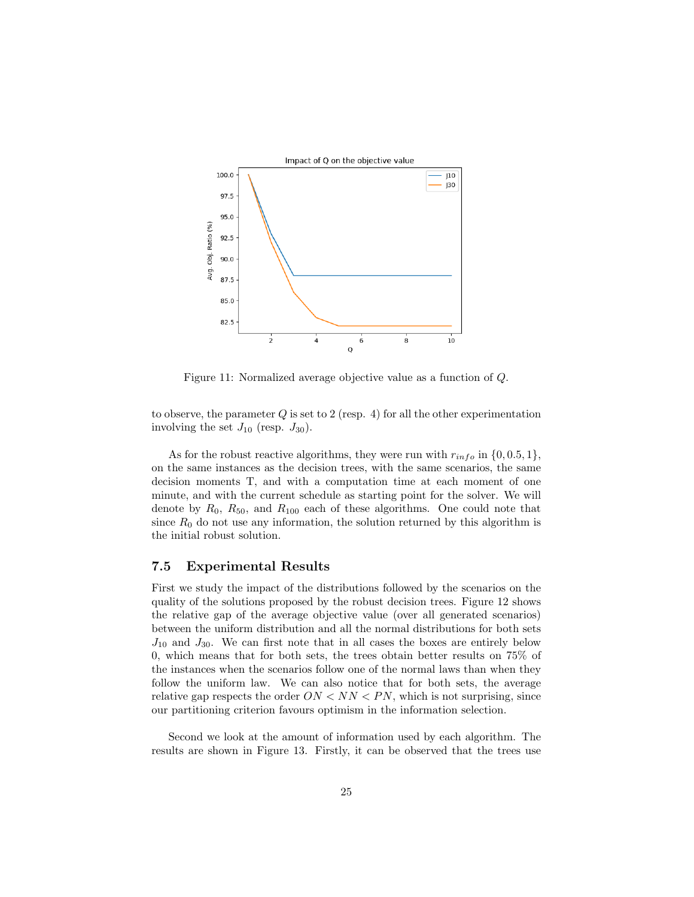

Figure 11: Normalized average objective value as a function of Q.

to observe, the parameter  $Q$  is set to 2 (resp. 4) for all the other experimentation involving the set  $J_{10}$  (resp.  $J_{30}$ ).

As for the robust reactive algorithms, they were run with  $r_{info}$  in  $\{0, 0.5, 1\}$ , on the same instances as the decision trees, with the same scenarios, the same decision moments T, and with a computation time at each moment of one minute, and with the current schedule as starting point for the solver. We will denote by  $R_0$ ,  $R_{50}$ , and  $R_{100}$  each of these algorithms. One could note that since  $R_0$  do not use any information, the solution returned by this algorithm is the initial robust solution.

#### 7.5 Experimental Results

First we study the impact of the distributions followed by the scenarios on the quality of the solutions proposed by the robust decision trees. Figure 12 shows the relative gap of the average objective value (over all generated scenarios) between the uniform distribution and all the normal distributions for both sets  $J_{10}$  and  $J_{30}$ . We can first note that in all cases the boxes are entirely below 0, which means that for both sets, the trees obtain better results on 75% of the instances when the scenarios follow one of the normal laws than when they follow the uniform law. We can also notice that for both sets, the average relative gap respects the order  $ON < NN < PN$ , which is not surprising, since our partitioning criterion favours optimism in the information selection.

Second we look at the amount of information used by each algorithm. The results are shown in Figure 13. Firstly, it can be observed that the trees use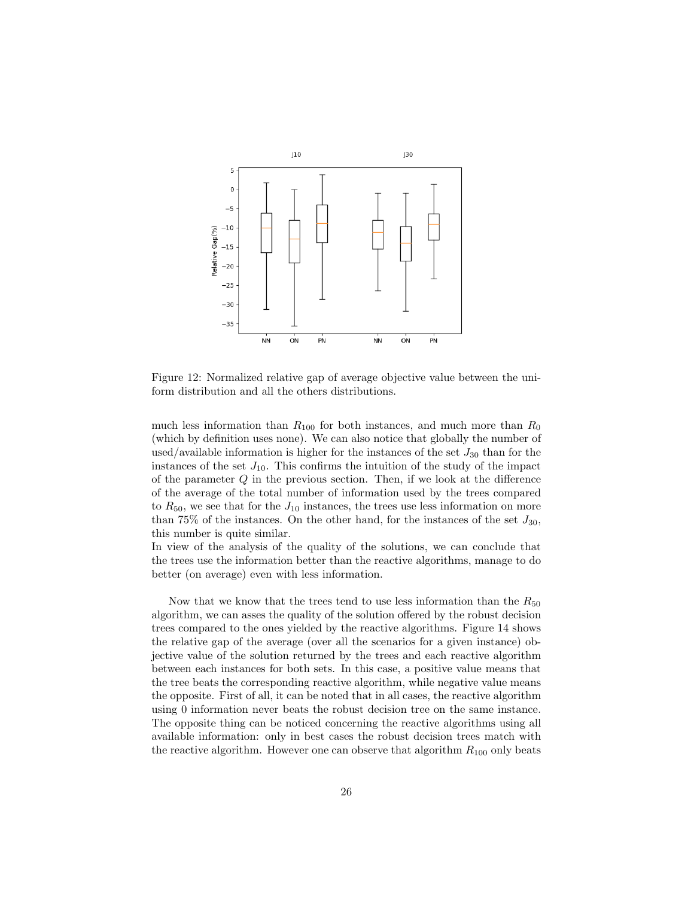

Figure 12: Normalized relative gap of average objective value between the uniform distribution and all the others distributions.

much less information than  $R_{100}$  for both instances, and much more than  $R_0$ (which by definition uses none). We can also notice that globally the number of used/available information is higher for the instances of the set  $J_{30}$  than for the instances of the set  $J_{10}$ . This confirms the intuition of the study of the impact of the parameter  $Q$  in the previous section. Then, if we look at the difference of the average of the total number of information used by the trees compared to  $R_{50}$ , we see that for the  $J_{10}$  instances, the trees use less information on more than 75% of the instances. On the other hand, for the instances of the set  $J_{30}$ , this number is quite similar.

In view of the analysis of the quality of the solutions, we can conclude that the trees use the information better than the reactive algorithms, manage to do better (on average) even with less information.

Now that we know that the trees tend to use less information than the  $R_{50}$ algorithm, we can asses the quality of the solution offered by the robust decision trees compared to the ones yielded by the reactive algorithms. Figure 14 shows the relative gap of the average (over all the scenarios for a given instance) objective value of the solution returned by the trees and each reactive algorithm between each instances for both sets. In this case, a positive value means that the tree beats the corresponding reactive algorithm, while negative value means the opposite. First of all, it can be noted that in all cases, the reactive algorithm using 0 information never beats the robust decision tree on the same instance. The opposite thing can be noticed concerning the reactive algorithms using all available information: only in best cases the robust decision trees match with the reactive algorithm. However one can observe that algorithm  $R_{100}$  only beats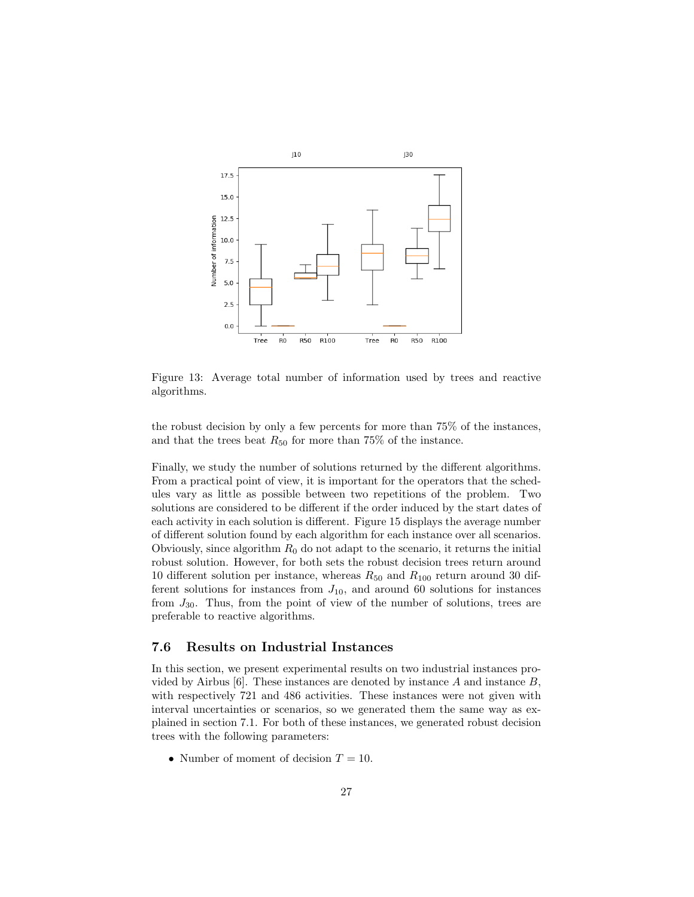

Figure 13: Average total number of information used by trees and reactive algorithms.

the robust decision by only a few percents for more than 75% of the instances, and that the trees beat  $R_{50}$  for more than 75% of the instance.

Finally, we study the number of solutions returned by the different algorithms. From a practical point of view, it is important for the operators that the schedules vary as little as possible between two repetitions of the problem. Two solutions are considered to be different if the order induced by the start dates of each activity in each solution is different. Figure 15 displays the average number of different solution found by each algorithm for each instance over all scenarios. Obviously, since algorithm  $R_0$  do not adapt to the scenario, it returns the initial robust solution. However, for both sets the robust decision trees return around 10 different solution per instance, whereas  $R_{50}$  and  $R_{100}$  return around 30 different solutions for instances from  $J_{10}$ , and around 60 solutions for instances from  $J_{30}$ . Thus, from the point of view of the number of solutions, trees are preferable to reactive algorithms.

#### 7.6 Results on Industrial Instances

In this section, we present experimental results on two industrial instances provided by Airbus [6]. These instances are denoted by instance  $A$  and instance  $B$ , with respectively 721 and 486 activities. These instances were not given with interval uncertainties or scenarios, so we generated them the same way as explained in section 7.1. For both of these instances, we generated robust decision trees with the following parameters:

• Number of moment of decision  $T = 10$ .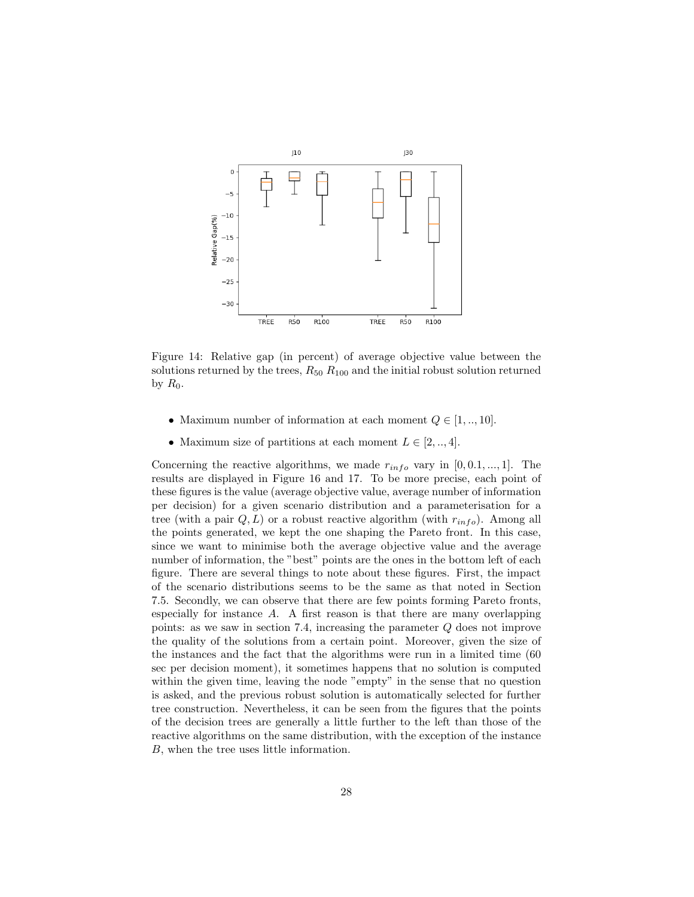

Figure 14: Relative gap (in percent) of average objective value between the solutions returned by the trees,  $R_{50} R_{100}$  and the initial robust solution returned by  $R_0$ .

- Maximum number of information at each moment  $Q \in [1, ..., 10]$ .
- Maximum size of partitions at each moment  $L \in [2, ..., 4]$ .

Concerning the reactive algorithms, we made  $r_{info}$  vary in [0,0.1,..., 1]. The results are displayed in Figure 16 and 17. To be more precise, each point of these figures is the value (average objective value, average number of information per decision) for a given scenario distribution and a parameterisation for a tree (with a pair  $Q, L$ ) or a robust reactive algorithm (with  $r_{info}$ ). Among all the points generated, we kept the one shaping the Pareto front. In this case, since we want to minimise both the average objective value and the average number of information, the "best" points are the ones in the bottom left of each figure. There are several things to note about these figures. First, the impact of the scenario distributions seems to be the same as that noted in Section 7.5. Secondly, we can observe that there are few points forming Pareto fronts, especially for instance  $A$ . A first reason is that there are many overlapping points: as we saw in section 7.4, increasing the parameter Q does not improve the quality of the solutions from a certain point. Moreover, given the size of the instances and the fact that the algorithms were run in a limited time (60 sec per decision moment), it sometimes happens that no solution is computed within the given time, leaving the node "empty" in the sense that no question is asked, and the previous robust solution is automatically selected for further tree construction. Nevertheless, it can be seen from the figures that the points of the decision trees are generally a little further to the left than those of the reactive algorithms on the same distribution, with the exception of the instance B, when the tree uses little information.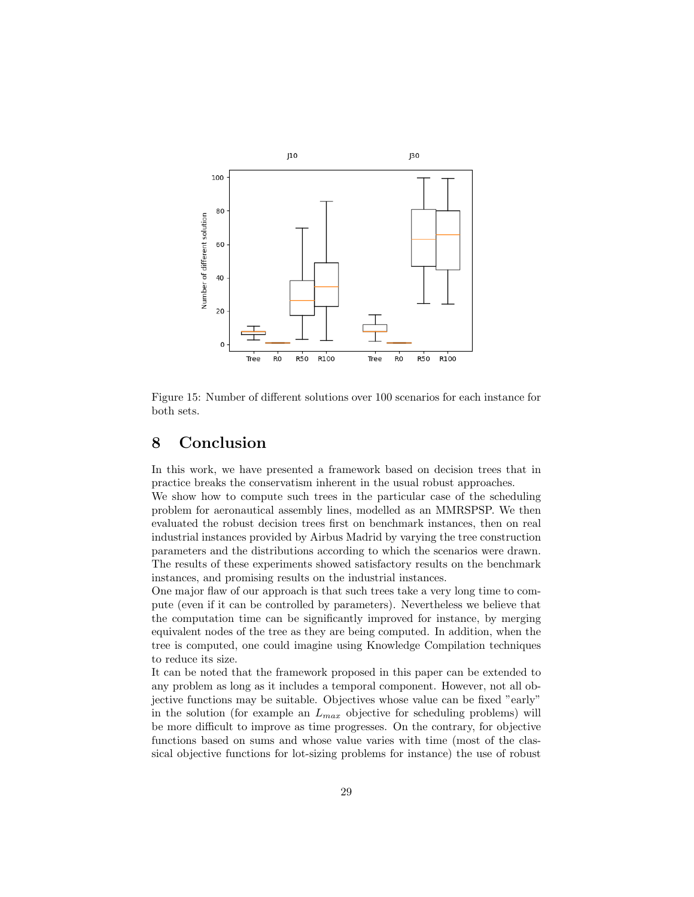

Figure 15: Number of different solutions over 100 scenarios for each instance for both sets.

## 8 Conclusion

In this work, we have presented a framework based on decision trees that in practice breaks the conservatism inherent in the usual robust approaches.

We show how to compute such trees in the particular case of the scheduling problem for aeronautical assembly lines, modelled as an MMRSPSP. We then evaluated the robust decision trees first on benchmark instances, then on real industrial instances provided by Airbus Madrid by varying the tree construction parameters and the distributions according to which the scenarios were drawn. The results of these experiments showed satisfactory results on the benchmark instances, and promising results on the industrial instances.

One major flaw of our approach is that such trees take a very long time to compute (even if it can be controlled by parameters). Nevertheless we believe that the computation time can be significantly improved for instance, by merging equivalent nodes of the tree as they are being computed. In addition, when the tree is computed, one could imagine using Knowledge Compilation techniques to reduce its size.

It can be noted that the framework proposed in this paper can be extended to any problem as long as it includes a temporal component. However, not all objective functions may be suitable. Objectives whose value can be fixed "early" in the solution (for example an  $L_{max}$  objective for scheduling problems) will be more difficult to improve as time progresses. On the contrary, for objective functions based on sums and whose value varies with time (most of the classical objective functions for lot-sizing problems for instance) the use of robust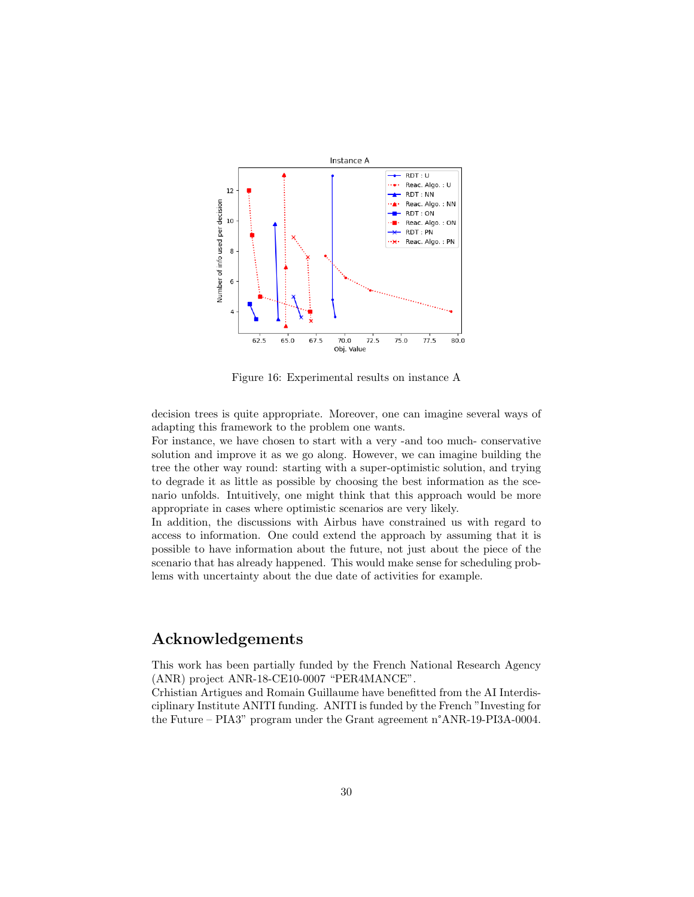

Figure 16: Experimental results on instance A

decision trees is quite appropriate. Moreover, one can imagine several ways of adapting this framework to the problem one wants.

For instance, we have chosen to start with a very -and too much- conservative solution and improve it as we go along. However, we can imagine building the tree the other way round: starting with a super-optimistic solution, and trying to degrade it as little as possible by choosing the best information as the scenario unfolds. Intuitively, one might think that this approach would be more appropriate in cases where optimistic scenarios are very likely.

In addition, the discussions with Airbus have constrained us with regard to access to information. One could extend the approach by assuming that it is possible to have information about the future, not just about the piece of the scenario that has already happened. This would make sense for scheduling problems with uncertainty about the due date of activities for example.

### Acknowledgements

This work has been partially funded by the French National Research Agency (ANR) project ANR-18-CE10-0007 "PER4MANCE".

Crhistian Artigues and Romain Guillaume have benefitted from the AI Interdisciplinary Institute ANITI funding. ANITI is funded by the French "Investing for the Future – PIA3" program under the Grant agreement n°ANR-19-PI3A-0004.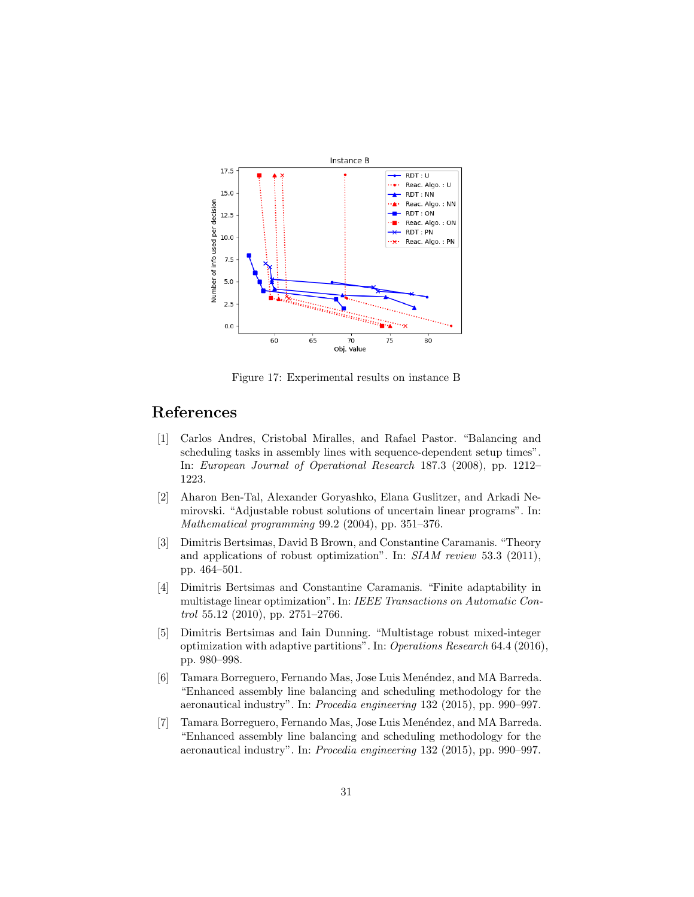

Figure 17: Experimental results on instance B

## References

- [1] Carlos Andres, Cristobal Miralles, and Rafael Pastor. "Balancing and scheduling tasks in assembly lines with sequence-dependent setup times". In: European Journal of Operational Research 187.3 (2008), pp. 1212– 1223.
- [2] Aharon Ben-Tal, Alexander Goryashko, Elana Guslitzer, and Arkadi Nemirovski. "Adjustable robust solutions of uncertain linear programs". In: Mathematical programming 99.2 (2004), pp. 351–376.
- [3] Dimitris Bertsimas, David B Brown, and Constantine Caramanis. "Theory and applications of robust optimization". In: SIAM review 53.3 (2011), pp. 464–501.
- [4] Dimitris Bertsimas and Constantine Caramanis. "Finite adaptability in multistage linear optimization". In: IEEE Transactions on Automatic Control 55.12 (2010), pp. 2751–2766.
- [5] Dimitris Bertsimas and Iain Dunning. "Multistage robust mixed-integer optimization with adaptive partitions". In: Operations Research 64.4 (2016), pp. 980–998.
- [6] Tamara Borreguero, Fernando Mas, Jose Luis Menéndez, and MA Barreda. "Enhanced assembly line balancing and scheduling methodology for the aeronautical industry". In: Procedia engineering 132 (2015), pp. 990–997.
- [7] Tamara Borreguero, Fernando Mas, Jose Luis Menéndez, and MA Barreda. "Enhanced assembly line balancing and scheduling methodology for the aeronautical industry". In: Procedia engineering 132 (2015), pp. 990–997.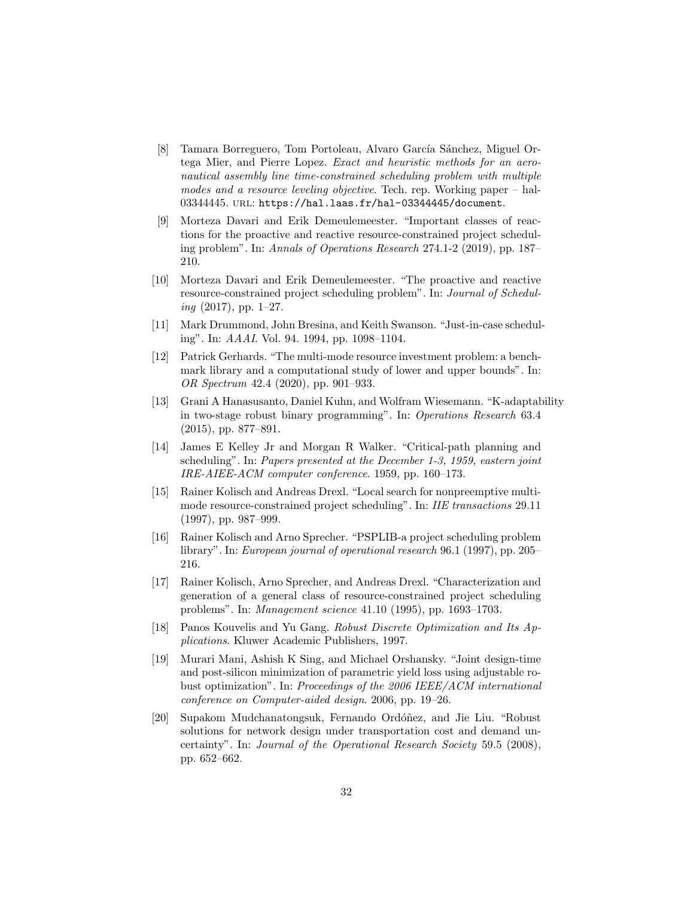- [8] Tamara Borreguero, Tom Portoleau, Alvaro García Sánchez, Miguel Ortega Mier, and Pierre Lopez. Exact and heuristic methods for an aeronautical assembly line time-constrained scheduling problem with multiple modes and a resource leveling objective. Tech. rep. Working paper – hal-03344445. url: https://hal.laas.fr/hal-03344445/document.
- [9] Morteza Davari and Erik Demeulemeester. "Important classes of reactions for the proactive and reactive resource-constrained project scheduling problem". In: Annals of Operations Research 274.1-2 (2019), pp. 187– 210.
- [10] Morteza Davari and Erik Demeulemeester. "The proactive and reactive resource-constrained project scheduling problem". In: Journal of Schedul $ing (2017)$ , pp. 1–27.
- [11] Mark Drummond, John Bresina, and Keith Swanson. "Just-in-case scheduling". In: AAAI. Vol. 94. 1994, pp. 1098–1104.
- [12] Patrick Gerhards. "The multi-mode resource investment problem: a benchmark library and a computational study of lower and upper bounds". In: OR Spectrum 42.4 (2020), pp. 901–933.
- [13] Grani A Hanasusanto, Daniel Kuhn, and Wolfram Wiesemann. "K-adaptability in two-stage robust binary programming". In: Operations Research 63.4 (2015), pp. 877–891.
- [14] James E Kelley Jr and Morgan R Walker. "Critical-path planning and scheduling". In: Papers presented at the December 1-3, 1959, eastern joint IRE-AIEE-ACM computer conference. 1959, pp. 160–173.
- [15] Rainer Kolisch and Andreas Drexl. "Local search for nonpreemptive multimode resource-constrained project scheduling". In: IIE transactions 29.11 (1997), pp. 987–999.
- [16] Rainer Kolisch and Arno Sprecher. "PSPLIB-a project scheduling problem library". In: European journal of operational research 96.1 (1997), pp. 205– 216.
- [17] Rainer Kolisch, Arno Sprecher, and Andreas Drexl. "Characterization and generation of a general class of resource-constrained project scheduling problems". In: Management science 41.10 (1995), pp. 1693–1703.
- [18] Panos Kouvelis and Yu Gang. Robust Discrete Optimization and Its Applications. Kluwer Academic Publishers, 1997.
- [19] Murari Mani, Ashish K Sing, and Michael Orshansky. "Joint design-time and post-silicon minimization of parametric yield loss using adjustable robust optimization". In: Proceedings of the 2006 IEEE/ACM international conference on Computer-aided design. 2006, pp. 19–26.
- [20] Supakom Mudchanatongsuk, Fernando Ordóñez, and Jie Liu. "Robust" solutions for network design under transportation cost and demand uncertainty". In: Journal of the Operational Research Society 59.5 (2008), pp. 652–662.